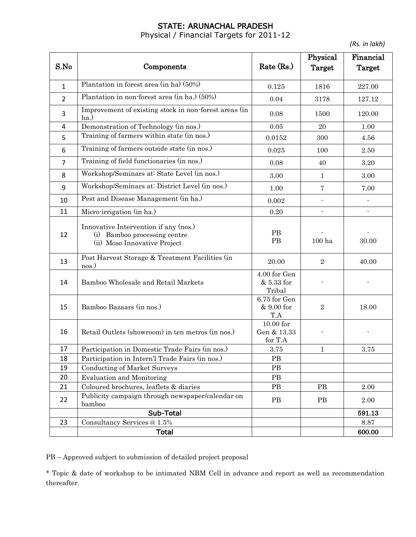# STATE: ARUNACHAL PRADESH

Physical / Financial Targets for 2011-12

*(Rs. in lakh)*

|                |                                                                                                       |                                              | Physical                 | Financial      |
|----------------|-------------------------------------------------------------------------------------------------------|----------------------------------------------|--------------------------|----------------|
| S.No           | Components                                                                                            | Rate (Rs.)                                   | Target                   | Target         |
|                | Plantation in forest area (in ha) (50%)                                                               |                                              |                          |                |
| $\mathbf{1}$   |                                                                                                       | 0.125                                        | 1816                     | 227.00         |
| $\overline{2}$ | Plantation in non-forest area (in ha.) (50%)                                                          | 0.04                                         | 3178                     | 127.12         |
| 3              | Improvement of existing stock in non-forest areas (in<br>ha.)                                         | 0.08                                         | 1500                     | 120.00         |
| 4              | Demonstration of Technology (in nos.)                                                                 | $0.05\,$                                     | 20                       | 1.00           |
| 5              | Training of farmers within state (in nos.)                                                            | 0.0152                                       | 300                      | 4.56           |
| 6              | Training of farmers outside state (in nos.)                                                           | 0.025                                        | 100                      | 2.50           |
| $\overline{7}$ | Training of field functionaries (in nos.)                                                             | 0.08                                         | 40                       | 3.20           |
| 8              | Workshop/Seminars at: State Level (in nos.)                                                           | 3.00                                         | $\mathbf{1}$             | 3.00           |
| 9              | Workshop/Seminars at: District Level (in nos.)                                                        | 1.00                                         | $\overline{7}$           | 7.00           |
| 10             | Pest and Disease Management (in ha.)                                                                  | 0.002                                        | L.                       | $\blacksquare$ |
| 11             | Micro-irrigation (in ha.)                                                                             | 0.20                                         | $\overline{\phantom{a}}$ | $\blacksquare$ |
| 12             | Innovative Intervention if any (nos.)<br>(i) Bamboo processing centre<br>(ii) Moso Innovative Project | PB<br>PB                                     | 100 ha                   | 30.00          |
| 13             | Post Harvest Storage & Treatment Facilities (in<br>nos.)                                              | 20.00                                        | $\overline{2}$           | 40.00          |
| 14             | Bamboo Wholesale and Retail Markets                                                                   | 4.00 for Gen<br>& 5.33 for<br>Tribal         |                          |                |
| 15             | Bamboo Bazaars (in nos.)                                                                              | 6.75 for Gen<br>& 9.00 for<br>$\mathrm{T.A}$ | $\sqrt{2}$               | 18.00          |
| 16             | Retail Outlets (showroom) in ten metros (in nos.)                                                     | $10.00$ for<br>Gen & 13.33<br>for T.A        |                          |                |
| 17             | Participation in Domestic Trade Fairs (in nos.)                                                       | $3.75\,$                                     | $\mathbf{1}$             | 3.75           |
| 18             | Participation in Intern'l Trade Fairs (in nos.)                                                       | PB                                           |                          |                |
| 19             | <b>Conducting of Market Surveys</b>                                                                   | PB                                           |                          |                |
| 20             | <b>Evaluation and Monitoring</b>                                                                      | $\rm{PB}$                                    |                          |                |
| 21             | Coloured brochures, leaflets & diaries                                                                | PB                                           | PB                       | 2.00           |
| 22             | Publicity campaign through newspaper/calendar on<br>bamboo                                            | PB                                           | PB                       | 2.00           |
|                | Sub-Total                                                                                             |                                              |                          | 591.13         |
| 23             | Consultancy Services @ 1.5%                                                                           |                                              |                          | 8.87           |
|                | <b>Total</b>                                                                                          |                                              |                          | 600.00         |

PB – Approved subject to submission of detailed project proposal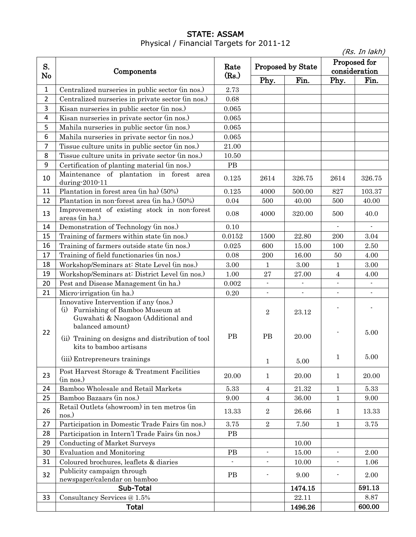## STATE: ASSAM Physical / Financial Targets for 2011-12

|                |                                                                                                                                       |        | (Rs. In lakh)            |                          |                          |                          |
|----------------|---------------------------------------------------------------------------------------------------------------------------------------|--------|--------------------------|--------------------------|--------------------------|--------------------------|
|                |                                                                                                                                       | Rate   | <b>Proposed by State</b> |                          | Proposed for             |                          |
| S.             | Components                                                                                                                            |        |                          |                          | consideration            |                          |
| No             |                                                                                                                                       | (Rs.)  | Phy.                     | Fin.                     | Phy.                     | Fin.                     |
| $\mathbf 1$    | Centralized nurseries in public sector (in nos.)                                                                                      | 2.73   |                          |                          |                          |                          |
| $\overline{2}$ | Centralized nurseries in private sector (in nos.)                                                                                     | 0.68   |                          |                          |                          |                          |
| 3              | Kisan nurseries in public sector (in nos.)                                                                                            | 0.065  |                          |                          |                          |                          |
| 4              | Kisan nurseries in private sector (in nos.)                                                                                           | 0.065  |                          |                          |                          |                          |
| 5              | Mahila nurseries in public sector (in nos.)                                                                                           | 0.065  |                          |                          |                          |                          |
| 6              | Mahila nurseries in private sector (in nos.)                                                                                          | 0.065  |                          |                          |                          |                          |
| 7              | Tissue culture units in public sector (in nos.)                                                                                       | 21.00  |                          |                          |                          |                          |
| 8              | Tissue culture units in private sector (in nos.)                                                                                      | 10.50  |                          |                          |                          |                          |
| 9              | Certification of planting material (in nos.)                                                                                          | PB     |                          |                          |                          |                          |
| 10             | Maintenance of plantation in forest<br>area<br>during-2010-11                                                                         | 0.125  | 2614                     | 326.75                   | 2614                     | 326.75                   |
| 11             | Plantation in forest area (in ha) (50%)                                                                                               | 0.125  | 4000                     | 500.00                   | 827                      | 103.37                   |
| 12             | Plantation in non-forest area (in ha.) (50%)                                                                                          | 0.04   | 500                      | 40.00                    | 500                      | 40.00                    |
| 13             | Improvement of existing stock in non-forest<br>areas (in ha.)                                                                         | 0.08   | 4000                     | 320.00                   | 500                      | 40.0                     |
| 14             | Demonstration of Technology (in nos.)                                                                                                 | 0.10   |                          |                          |                          |                          |
| 15             | Training of farmers within state (in nos.)                                                                                            | 0.0152 | 1500                     | 22.80                    | 200                      | 3.04                     |
| 16             | Training of farmers outside state (in nos.)                                                                                           | 0.025  | 600                      | 15.00                    | 100                      | 2.50                     |
| 17             | Training of field functionaries (in nos.)                                                                                             | 0.08   | 200                      | 16.00                    | 50                       | 4.00                     |
| 18             | Workshop/Seminars at: State Level (in nos.)                                                                                           | 3.00   | 1                        | 3.00                     | 1                        | 3.00                     |
| 19             | Workshop/Seminars at: District Level (in nos.)                                                                                        | 1.00   | 27                       | 27.00                    | $\overline{4}$           | 4.00                     |
| 20             | Pest and Disease Management (in ha.)                                                                                                  | 0.002  |                          | $\blacksquare$           |                          |                          |
| 21             | Micro-irrigation (in ha.)                                                                                                             | 0.20   | $\overline{\phantom{a}}$ | $\overline{\phantom{a}}$ | $\overline{\phantom{a}}$ | $\overline{\phantom{a}}$ |
|                | Innovative Intervention if any (nos.)<br>(i) Furnishing of Bamboo Museum at<br>Guwahati & Naogaon (Additional and<br>balanced amount) |        | $\sqrt{2}$               | 23.12                    |                          |                          |
| 22             | (ii) Training on designs and distribution of tool<br>kits to bamboo artisans                                                          | PB     | <b>PB</b>                | 20.00                    |                          | 5.00                     |
|                | (iii) Entrepreneurs trainings                                                                                                         |        | $\mathbf{1}$             | 5.00                     | $\mathbf{1}$             | 5.00                     |
| 23             | Post Harvest Storage & Treatment Facilities<br>(in nos.)                                                                              | 20.00  | $\mathbf{1}$             | 20.00                    | $\mathbf{1}$             | 20.00                    |
| 24             | Bamboo Wholesale and Retail Markets                                                                                                   | 5.33   | $\overline{4}$           | 21.32                    | $\mathbf{1}$             | 5.33                     |
| 25             | Bamboo Bazaars (in nos.)                                                                                                              | 9.00   | 4                        | 36.00                    | $\mathbf{1}$             | 9.00                     |
| 26             | Retail Outlets (showroom) in ten metros (in<br>nos.)                                                                                  | 13.33  | $\boldsymbol{2}$         | 26.66                    | $\mathbf{1}$             | 13.33                    |
| 27             | Participation in Domestic Trade Fairs (in nos.)                                                                                       | 3.75   | $\overline{2}$           | 7.50                     | $\mathbf{1}$             | 3.75                     |
| 28             | Participation in Intern'l Trade Fairs (in nos.)                                                                                       | PB     |                          |                          |                          |                          |
| 29             | <b>Conducting of Market Surveys</b>                                                                                                   |        |                          | 10.00                    |                          |                          |
| 30             | <b>Evaluation and Monitoring</b>                                                                                                      | PB     | $\overline{a}$           | 15.00                    | $\blacksquare$           | 2.00                     |
| 31             | Coloured brochures, leaflets & diaries                                                                                                |        | $\overline{a}$           | 10.00                    |                          | 1.06                     |
| 32             | Publicity campaign through                                                                                                            | PB     | $\overline{\phantom{a}}$ | 9.00                     |                          | 2.00                     |
|                | newspaper/calendar on bamboo<br>Sub-Total                                                                                             |        |                          | 1474.15                  |                          | 591.13                   |
| 33             | Consultancy Services @ 1.5%                                                                                                           |        |                          | 22.11                    |                          | 8.87                     |
|                | <b>Total</b>                                                                                                                          |        |                          | 1496.26                  |                          | 600.00                   |
|                |                                                                                                                                       |        |                          |                          |                          |                          |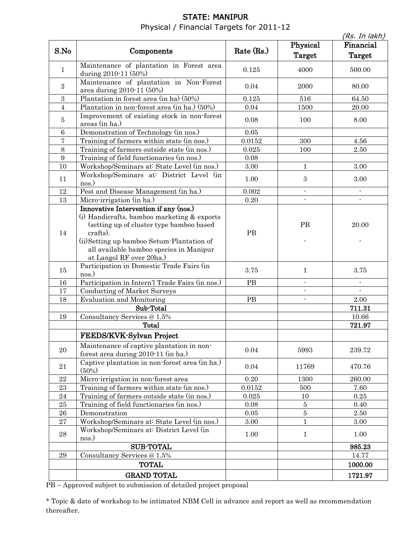# STATE: MANIPUR Physical / Financial Targets for 2011-12

|                |                                                                                                                                                                                                                                                                   |              |                          | (Rs. In lakh) |
|----------------|-------------------------------------------------------------------------------------------------------------------------------------------------------------------------------------------------------------------------------------------------------------------|--------------|--------------------------|---------------|
| S.No           | Components                                                                                                                                                                                                                                                        | Rate $(Rs.)$ | Physical                 | Financial     |
|                |                                                                                                                                                                                                                                                                   |              | Target                   | Target        |
| $\mathbf{1}$   | Maintenance of plantation in Forest area<br>during 2010-11 (50%)                                                                                                                                                                                                  | 0.125        | 4000                     | 500.00        |
| $\sqrt{2}$     | Maintenance of plantation in Non-Forest<br>area during 2010-11 (50%)                                                                                                                                                                                              | 0.04         | 2000                     | 80.00         |
| $\sqrt{3}$     | Plantation in forest area (in ha) (50%)                                                                                                                                                                                                                           | 0.125        | 516                      | 64.50         |
| $\overline{4}$ | Plantation in non-forest area (in ha.) (50%)                                                                                                                                                                                                                      | 0.04         | 1500                     | 20.00         |
| $\bf 5$        | Improvement of existing stock in non-forest<br>areas (in ha.)                                                                                                                                                                                                     | 0.08         | 100                      | 8.00          |
| 6              | Demonstration of Technology (in nos.)                                                                                                                                                                                                                             | $0.05\,$     |                          |               |
| 7              | Training of farmers within state (in nos.)                                                                                                                                                                                                                        | 0.0152       | 300                      | 4.56          |
| 8              | Training of farmers outside state (in nos.)                                                                                                                                                                                                                       | 0.025        | 100                      | 2.50          |
| 9              | Training of field functionaries (in nos.)                                                                                                                                                                                                                         | 0.08         |                          |               |
| 10             | Workshop/Seminars at: State Level (in nos.)                                                                                                                                                                                                                       | 3.00         | $\mathbf{1}$             | 3.00          |
| 11             | Workshop/Seminars at: District Level (in<br>nos.)                                                                                                                                                                                                                 | 1.00         | $\,3$                    | 3.00          |
| 12             | Pest and Disease Management (in ha.)                                                                                                                                                                                                                              | 0.002        | $\overline{\phantom{a}}$ |               |
| 13             | Micro-irrigation (in ha.)                                                                                                                                                                                                                                         | $0.20\,$     |                          |               |
| 14             | Innovative Intervention if any (nos.)<br>(i) Handicrafts, bamboo marketing & exports<br>(setting up of cluster type bamboo based<br>crafts).<br>(ii) Setting up bamboo Setum-Plantation of<br>all available bamboo species in Manipur<br>at Langol RF over 20ha.) | PB           | PB                       | 20.00         |
| 15             | Participation in Domestic Trade Fairs (in<br>nos.)                                                                                                                                                                                                                | 3.75         | $\mathbf{1}$             | 3.75          |
| 16             | Participation in Intern'l Trade Fairs (in nos.)                                                                                                                                                                                                                   | PB           | $\blacksquare$           |               |
| 17             | <b>Conducting of Market Surveys</b>                                                                                                                                                                                                                               |              | $\blacksquare$           |               |
| 18             | <b>Evaluation and Monitoring</b>                                                                                                                                                                                                                                  | PB           | $\overline{\phantom{a}}$ | 2.00          |
|                | Sub-Total                                                                                                                                                                                                                                                         |              |                          | 711.31        |
| 19             | Consultancy Services @ 1.5%                                                                                                                                                                                                                                       |              |                          | 10.66         |
|                | Total                                                                                                                                                                                                                                                             |              |                          | 721.97        |
|                | FEEDS/KVK-Sylvan Project                                                                                                                                                                                                                                          |              |                          |               |
| $20\,$         | Maintenance of captive plantation in non-<br>forest area during 2010-11 (in ha.)                                                                                                                                                                                  | 0.04         | 5993                     | 239.72        |
| $21\,$         | Captive plantation in non-forest area (in ha.)<br>$(50\%)$                                                                                                                                                                                                        | 0.04         | 11769                    | 470.76        |
| $22\,$         | Micro-irrigation in non-forest area                                                                                                                                                                                                                               | 0.20         | 1300                     | 260.00        |
| $\bf 23$       | Training of farmers within state (in nos.)                                                                                                                                                                                                                        | 0.0152       | 500                      | 7.60          |
| 24             | Training of farmers outside state (in nos.)                                                                                                                                                                                                                       | 0.025        | 10                       | 0.25          |
| 25             | Training of field functionaries (in nos.)                                                                                                                                                                                                                         | 0.08         | $\bf 5$                  | 0.40          |
| 26             | Demonstration                                                                                                                                                                                                                                                     | 0.05         | $\bf 5$                  | 2.50          |
| $\sqrt{27}$    | Workshop/Seminars at: State Level (in nos.)                                                                                                                                                                                                                       | 3.00         | $\mathbf{1}$             | 3.00          |
| 28             | Workshop/Seminars at: District Level (in<br>nos.)                                                                                                                                                                                                                 | 1.00         | $\mathbf{1}$             | 1.00          |
|                | <b>SUB-TOTAL</b>                                                                                                                                                                                                                                                  |              |                          | 985.23        |
| 29             | Consultancy Services @ 1.5%                                                                                                                                                                                                                                       |              |                          | 14.77         |
|                | <b>TOTAL</b>                                                                                                                                                                                                                                                      |              |                          | 1000.00       |
|                | <b>GRAND TOTAL</b>                                                                                                                                                                                                                                                |              |                          | 1721.97       |
|                |                                                                                                                                                                                                                                                                   |              |                          |               |

PB – Approved subject to submission of detailed project proposal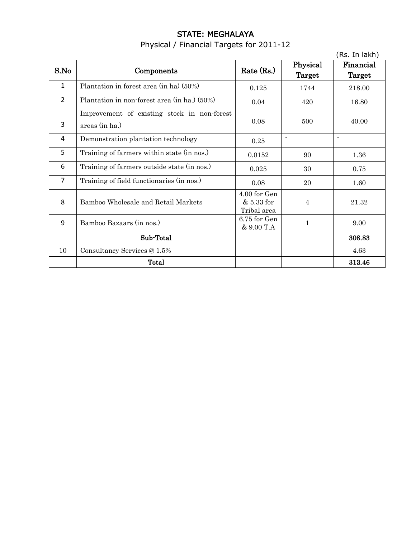# STATE: MEGHALAYA Physical / Financial Targets for 2011-12

|                |                                                               |                                           |                          | (Rs. In lakh)       |
|----------------|---------------------------------------------------------------|-------------------------------------------|--------------------------|---------------------|
| S.No           | Components                                                    | Rate (Rs.)                                | Physical<br>Target       | Financial<br>Target |
| $\mathbf{1}$   | Plantation in forest area (in ha) (50%)                       | 0.125                                     | 1744                     | 218.00              |
| $\overline{2}$ | Plantation in non-forest area (in ha.) (50%)                  | 0.04                                      | 420                      | 16.80               |
| 3              | Improvement of existing stock in non-forest<br>areas (in ha.) | 0.08                                      | 500                      | 40.00               |
| 4              | Demonstration plantation technology                           | 0.25                                      | $\overline{\phantom{a}}$ | $\blacksquare$      |
| 5              | Training of farmers within state (in nos.)                    | 0.0152                                    | 90                       | 1.36                |
| 6              | Training of farmers outside state (in nos.)                   | 0.025                                     | 30                       | 0.75                |
| $\overline{7}$ | Training of field functionaries (in nos.)                     | 0.08                                      | 20                       | 1.60                |
| 8              | Bamboo Wholesale and Retail Markets                           | 4.00 for Gen<br>& 5.33 for<br>Tribal area | $\overline{4}$           | 21.32               |
| 9              | Bamboo Bazaars (in nos.)                                      | 6.75 for Gen<br>& 9.00 T.A                | 1                        | 9.00                |
|                | Sub-Total                                                     |                                           |                          | 308.83              |
| 10             | Consultancy Services @ 1.5%                                   |                                           |                          | 4.63                |
|                | Total                                                         |                                           |                          | 313.46              |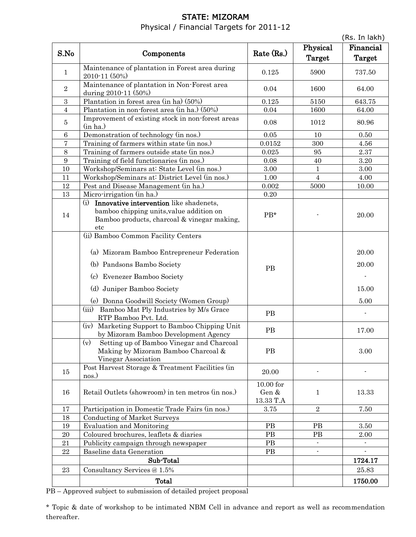# STATE: MIZORAM Physical / Financial Targets for 2011-12

|                  |                                                                                                                                                                                                                             |                                   |                          | (Rs. In lakh)                   |
|------------------|-----------------------------------------------------------------------------------------------------------------------------------------------------------------------------------------------------------------------------|-----------------------------------|--------------------------|---------------------------------|
|                  |                                                                                                                                                                                                                             |                                   | Physical                 | Financial                       |
| S.No             | Components                                                                                                                                                                                                                  | Rate $(Rs.)$                      | Target                   | Target                          |
| $\mathbf{1}$     | Maintenance of plantation in Forest area during<br>2010-11 (50%)                                                                                                                                                            | 0.125                             | 5900                     | 737.50                          |
| $\sqrt{2}$       | Maintenance of plantation in Non-Forest area<br>during 2010-11 (50%)                                                                                                                                                        | 0.04                              | 1600                     | 64.00                           |
| $\sqrt{3}$       | Plantation in forest area (in ha) (50%)                                                                                                                                                                                     | 0.125                             | 5150                     | 643.75                          |
| $\overline{4}$   | Plantation in non-forest area (in ha.) (50%)                                                                                                                                                                                | 0.04                              | 1600                     | 64.00                           |
| 5                | Improvement of existing stock in non-forest areas<br>(in ha.)                                                                                                                                                               | 0.08                              | 1012                     | 80.96                           |
| 6                | Demonstration of technology (in nos.)                                                                                                                                                                                       | 0.05                              | 10                       | 0.50                            |
| 7                | Training of farmers within state (in nos.)                                                                                                                                                                                  | 0.0152                            | 300                      | 4.56                            |
| 8                | Training of farmers outside state (in nos.)                                                                                                                                                                                 | 0.025                             | 95                       | 2.37                            |
| $\boldsymbol{9}$ | Training of field functionaries (in nos.)                                                                                                                                                                                   | 0.08                              | 40                       | $3.20\,$                        |
| 10               | Workshop/Seminars at: State Level (in nos.)                                                                                                                                                                                 | 3.00                              | 1                        | 3.00                            |
| 11               | Workshop/Seminars at: District Level (in nos.)                                                                                                                                                                              | 1.00                              | $\overline{4}$           | 4.00                            |
| 12               | Pest and Disease Management (in ha.)                                                                                                                                                                                        | 0.002                             | 5000                     | 10.00                           |
| 13               | Micro-irrigation (in ha.)                                                                                                                                                                                                   | $0.20\,$                          |                          |                                 |
| 14               | (i) Innovative intervention like shadenets,<br>bamboo chipping units, value addition on<br>Bamboo products, charcoal & vinegar making,<br>etc                                                                               | $PB*$                             |                          | 20.00                           |
|                  | (ii) Bamboo Common Facility Centers<br>(a) Mizoram Bamboo Entrepreneur Federation<br>(b) Pandsons Bambo Society<br>(c) Evenezer Bamboo Society<br>Juniper Bamboo Society<br>(d)<br>(e) Donna Goodwill Society (Women Group) | PB                                |                          | 20.00<br>20.00<br>15.00<br>5.00 |
|                  | Bamboo Mat Ply Industries by M/s Grace<br>(iii)<br>RTP Bamboo Pvt. Ltd.                                                                                                                                                     | PB                                |                          |                                 |
|                  | (iv) Marketing Support to Bamboo Chipping Unit<br>by Mizoram Bamboo Development Agency                                                                                                                                      | PB                                |                          | 17.00                           |
|                  | Setting up of Bamboo Vinegar and Charcoal<br>(v)<br>Making by Mizoram Bamboo Charcoal &<br>Vinegar Association                                                                                                              | PB                                |                          | 3.00                            |
| 15               | Post Harvest Storage & Treatment Facilities (in<br>nos.)                                                                                                                                                                    | 20.00                             |                          |                                 |
| 16               | Retail Outlets (showroom) in ten metros (in nos.)                                                                                                                                                                           | $10.00$ for<br>Gen &<br>13.33 T.A | 1                        | 13.33                           |
| 17               | Participation in Domestic Trade Fairs (in nos.)                                                                                                                                                                             | 3.75                              | $\overline{2}$           | 7.50                            |
| 18               | Conducting of Market Surveys                                                                                                                                                                                                |                                   |                          |                                 |
| 19               | <b>Evaluation and Monitoring</b>                                                                                                                                                                                            | PB                                | PB                       | 3.50                            |
| $20\,$           | Coloured brochures, leaflets & diaries                                                                                                                                                                                      | PB                                | PB                       | 2.00                            |
| 21               | Publicity campaign through newspaper                                                                                                                                                                                        | PB                                |                          |                                 |
| 22               | Baseline data Generation                                                                                                                                                                                                    | PB                                | $\overline{\phantom{0}}$ |                                 |
|                  | Sub-Total                                                                                                                                                                                                                   |                                   |                          | 1724.17                         |
| 23               | Consultancy Services @ 1.5%                                                                                                                                                                                                 |                                   |                          | 25.83                           |
|                  | Total                                                                                                                                                                                                                       |                                   |                          | 1750.00                         |

PB – Approved subject to submission of detailed project proposal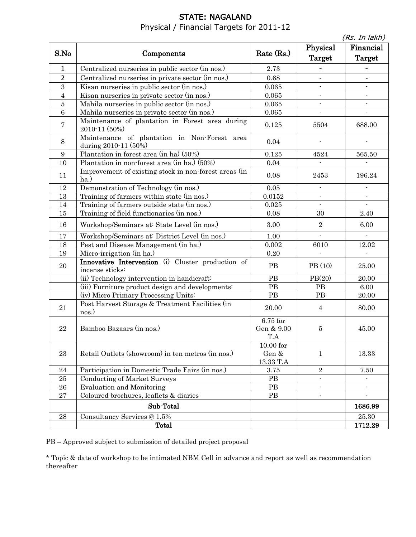# STATE: NAGALAND Physical / Financial Targets for 2011-12

(Rs. In lakh)

| S.No             | Components                                                           | Rate (Rs.)                        | Physical<br><b>Target</b> | $(10.11)$ $10.11)$<br>Financial<br>Target |
|------------------|----------------------------------------------------------------------|-----------------------------------|---------------------------|-------------------------------------------|
| 1                | Centralized nurseries in public sector (in nos.)                     | 2.73                              |                           |                                           |
| $\overline{2}$   | Centralized nurseries in private sector (in nos.)                    | 0.68                              |                           |                                           |
| 3                | Kisan nurseries in public sector (in nos.)                           | 0.065                             | $\overline{a}$            |                                           |
| $\overline{4}$   | Kisan nurseries in private sector (in nos.)                          | $\,0.065\,$                       | $\overline{\phantom{a}}$  |                                           |
| $\bf 5$          | Mahila nurseries in public sector (in nos.)                          | 0.065                             |                           |                                           |
| $\overline{6}$   | Mahila nurseries in private sector (in nos.)                         | 0.065                             |                           |                                           |
| 7                | Maintenance of plantation in Forest area during<br>2010-11 (50%)     | 0.125                             | 5504                      | 688.00                                    |
| $8\,$            | Maintenance of plantation in Non-Forest area<br>during 2010-11 (50%) | 0.04                              |                           |                                           |
| $\boldsymbol{9}$ | Plantation in forest area (in ha) (50%)                              | 0.125                             | 4524                      | 565.50                                    |
| 10               | Plantation in non-forest area (in ha.) (50%)                         | $0.04\,$                          |                           |                                           |
| 11               | Improvement of existing stock in non-forest areas (in<br>ha.)        | 0.08                              | 2453                      | 196.24                                    |
| 12               | Demonstration of Technology (in nos.)                                | $0.05\,$                          | $\overline{a}$            | $\overline{a}$                            |
| 13               | Training of farmers within state (in nos.)                           | 0.0152                            | $\overline{\phantom{a}}$  |                                           |
| 14               | Training of farmers outside state (in nos.)                          | 0.025                             | $\mathbf{L}$              | $\mathbf{r}$                              |
| 15               | Training of field functionaries (in nos.)                            | 0.08                              | 30                        | 2.40                                      |
| 16               | Workshop/Seminars at: State Level (in nos.)                          | $3.00\,$                          | $\sqrt{2}$                | 6.00                                      |
| 17               | Workshop/Seminars at: District Level (in nos.)                       | 1.00                              | $\frac{1}{2}$             | $\overline{\phantom{a}}$                  |
| 18               | Pest and Disease Management (in ha.)                                 | 0.002                             | 6010                      | 12.02                                     |
| 19               | Micro-irrigation (in ha.)                                            | $0.20\,$                          | $\overline{a}$            |                                           |
| 20               | Innovative Intervention (i) Cluster production of<br>incense sticks: | PB                                | PB (10)                   | 25.00                                     |
|                  | (ii) Technology intervention in handicraft:                          | $\rm{PB}$                         | PB(20)                    | 20.00                                     |
|                  | (iii) Furniture product design and developments:                     | $\rm{PB}$                         | PB                        | 6.00                                      |
|                  | (iv) Micro Primary Processing Units:                                 | PB                                | PB                        | 20.00                                     |
| 21               | Post Harvest Storage & Treatment Facilities (in<br>nos.)             | 20.00                             | $\overline{4}$            | 80.00                                     |
| $\bf 22$         | Bamboo Bazaars (in nos.)                                             | 6.75 for<br>Gen & 9.00<br>T.A     | 5                         | 45.00                                     |
| 23               | Retail Outlets (showroom) in ten metros (in nos.)                    | $10.00$ for<br>Gen &<br>13.33 T.A | $\mathbf{1}$              | 13.33                                     |
| 24               | Participation in Domestic Trade Fairs (in nos.)                      | 3.75                              | $\sqrt{2}$                | 7.50                                      |
| $25\,$           | <b>Conducting of Market Surveys</b>                                  | PB                                | $\blacksquare$            |                                           |
| 26               | <b>Evaluation and Monitoring</b>                                     | PB                                | $\overline{\phantom{a}}$  |                                           |
| 27               | Coloured brochures, leaflets & diaries                               | PB                                | $\blacksquare$            | $\blacksquare$                            |
|                  | Sub-Total                                                            |                                   |                           | 1686.99                                   |
| 28               | Consultancy Services @ 1.5%                                          |                                   |                           | 25.30                                     |
|                  | <b>Total</b>                                                         |                                   |                           | 1712.29                                   |

PB – Approved subject to submission of detailed project proposal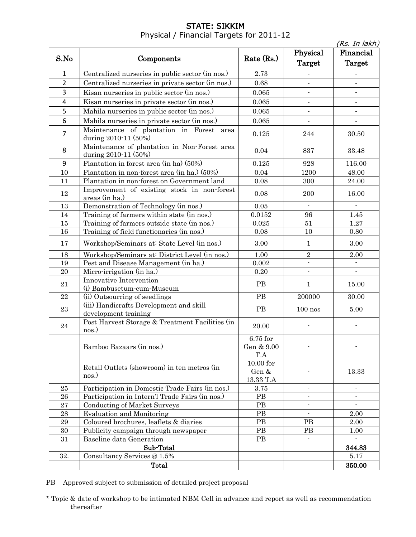### STATE: SIKKIM Physical / Financial Targets for 2011-12

|                |                                                                      |                                   |                           | (Rs. In lakh)              |
|----------------|----------------------------------------------------------------------|-----------------------------------|---------------------------|----------------------------|
| S.No           | Components                                                           | Rate $(Rs.)$                      | Physical<br><b>Target</b> | Financial<br><b>Target</b> |
| $\mathbf{1}$   | Centralized nurseries in public sector (in nos.)                     | 2.73                              |                           |                            |
| $\overline{2}$ | Centralized nurseries in private sector (in nos.)                    | 0.68                              | $\overline{\phantom{a}}$  |                            |
| 3              | Kisan nurseries in public sector (in nos.)                           | 0.065                             | $\overline{\phantom{a}}$  | $\overline{\phantom{a}}$   |
| 4              | Kisan nurseries in private sector (in nos.)                          | 0.065                             |                           | $\overline{\phantom{a}}$   |
| 5              | Mahila nurseries in public sector (in nos.)                          | 0.065                             |                           |                            |
| 6              | Mahila nurseries in private sector (in nos.)                         | 0.065                             | $\overline{\phantom{a}}$  | $\overline{\phantom{a}}$   |
| 7              | Maintenance of plantation in Forest<br>area<br>during 2010-11 (50%)  | 0.125                             | 244                       | 30.50                      |
| 8              | Maintenance of plantation in Non-Forest area<br>during 2010-11 (50%) | 0.04                              | 837                       | 33.48                      |
| 9              | Plantation in forest area (in ha) (50%)                              | $0.125\,$                         | 928                       | 116.00                     |
| 10             | Plantation in non-forest area (in ha.) (50%)                         | 0.04                              | 1200                      | 48.00                      |
| 11             | Plantation in non-forest on Government land                          | 0.08                              | 300                       | 24.00                      |
| 12             | Improvement of existing stock in non-forest<br>areas (in ha.)        | 0.08                              | 200                       | 16.00                      |
| 13             | Demonstration of Technology (in nos.)                                | $0.05\,$                          | $\blacksquare$            |                            |
| 14             | Training of farmers within state (in nos.)                           | 0.0152                            | 96                        | 1.45                       |
| $15\,$         | Training of farmers outside state (in nos.)                          | $\,0.025\,$                       | $51\,$                    | $1.27\,$                   |
| 16             | Training of field functionaries (in nos.)                            | $0.08\,$                          | 10                        | $0.80\,$                   |
| 17             | Workshop/Seminars at: State Level (in nos.)                          | 3.00                              | $\mathbf{1}$              | 3.00                       |
| 18             | Workshop/Seminars at: District Level (in nos.)                       | 1.00                              | $\,2$                     | 2.00                       |
| 19             | Pest and Disease Management (in ha.)                                 | 0.002                             |                           |                            |
| $20\,$         | Micro-irrigation (in ha.)                                            | 0.20                              |                           | ÷.                         |
| 21             | Innovative Intervention<br>(i) Bambusetum-cum-Museum                 | PB                                | 1                         | 15.00                      |
| $22\,$         | (ii) Outsourcing of seedlings                                        | $\rm{PB}$                         | 200000                    | 30.00                      |
| $\bf 23$       | (iii) Handicrafts Development and skill<br>development training      | PB                                | $100$ nos                 | 5.00                       |
| $\bf 24$       | Post Harvest Storage & Treatment Facilities (in<br>nos.)             | 20.00                             |                           | $\overline{\phantom{a}}$   |
|                | Bamboo Bazaars (in nos.)                                             | 6.75 for<br>Gen & 9.00<br>T.A     |                           |                            |
|                | Retail Outlets (showroom) in ten metros (in<br>nos.)                 | $10.00$ for<br>Gen &<br>13.33 T.A |                           | 13.33                      |
| 25             | Participation in Domestic Trade Fairs (in nos.)                      | 3.75                              |                           | $\overline{a}$             |
| 26             | Participation in Intern'l Trade Fairs (in nos.)                      | $\rm{PB}$                         |                           |                            |
| 27             | Conducting of Market Surveys                                         | <b>PB</b>                         |                           |                            |
| 28             | <b>Evaluation and Monitoring</b>                                     | PB                                |                           | 2.00                       |
| 29             | Coloured brochures, leaflets & diaries                               | <b>PB</b>                         | PB                        | 2.00                       |
| 30             | Publicity campaign through newspaper                                 | <b>PB</b>                         | PB                        | 1.00                       |
| 31             | Baseline data Generation                                             | PB                                |                           |                            |
|                | Sub-Total                                                            |                                   |                           | 344.83                     |
| 32.            | Consultancy Services @ 1.5%                                          |                                   |                           | 5.17                       |
|                | <b>Total</b>                                                         |                                   |                           | 350.00                     |

PB – Approved subject to submission of detailed project proposal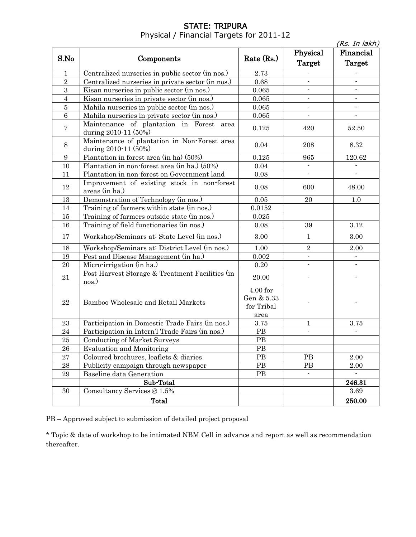# STATE: TRIPURA Physical / Financial Targets for 2011-12

|                  |                                                                      |                                              |                          | (Rs. In lakh)             |
|------------------|----------------------------------------------------------------------|----------------------------------------------|--------------------------|---------------------------|
| S.No             |                                                                      | Rate (Rs.)                                   | Physical                 | Financial                 |
|                  | Components                                                           |                                              | Target                   | Target                    |
| $\mathbf 1$      | Centralized nurseries in public sector (in nos.)                     | 2.73                                         |                          |                           |
| $\overline{2}$   | Centralized nurseries in private sector (in nos.)                    | 0.68                                         | $\frac{1}{2}$            |                           |
| 3                | Kisan nurseries in public sector (in nos.)                           | $\,0.065\,$                                  | $\overline{\phantom{a}}$ | $\overline{\phantom{a}}$  |
| $\overline{4}$   | Kisan nurseries in private sector (in nos.)                          | 0.065                                        | $\blacksquare$           | $\blacksquare$            |
| $\overline{5}$   | Mahila nurseries in public sector (in nos.)                          | 0.065                                        | $\overline{\phantom{a}}$ | $\blacksquare$            |
| $\overline{6}$   | Mahila nurseries in private sector (in nos.)                         | $\,0.065\,$                                  | $\blacksquare$           |                           |
| $\overline{7}$   | Maintenance of plantation in Forest area<br>during 2010-11 (50%)     | 0.125                                        | 420                      | $52.50\,$                 |
| 8                | Maintenance of plantation in Non-Forest area<br>during 2010-11 (50%) | 0.04                                         | 208                      | 8.32                      |
| $\boldsymbol{9}$ | Plantation in forest area (in ha) (50%)                              | 0.125                                        | 965                      | 120.62                    |
| 10               | Plantation in non-forest area (in ha.) (50%)                         | 0.04                                         | $\overline{\phantom{a}}$ |                           |
| 11               | Plantation in non-forest on Government land                          | 0.08                                         | $\overline{\phantom{a}}$ |                           |
| 12               | Improvement of existing stock in non-forest<br>areas (in ha.)        | 0.08                                         | 600                      | 48.00                     |
| 13               | Demonstration of Technology (in nos.)                                | 0.05                                         | 20                       | 1.0                       |
| 14               | Training of farmers within state (in nos.)                           | 0.0152                                       |                          |                           |
| 15               | Training of farmers outside state (in nos.)                          | 0.025                                        |                          |                           |
| 16               | Training of field functionaries (in nos.)                            | 0.08                                         | 39                       | 3.12                      |
| 17               | Workshop/Seminars at: State Level (in nos.)                          | 3.00                                         | $\mathbf{1}$             | 3.00                      |
| 18               | Workshop/Seminars at: District Level (in nos.)                       | 1.00                                         | $\overline{2}$           | 2.00                      |
| 19               | Pest and Disease Management (in ha.)                                 | 0.002                                        | $\overline{a}$           | $\mathbf{r}$              |
| 20               | Micro-irrigation (in ha.)                                            | $0.20\,$                                     | $\overline{\phantom{a}}$ | $\blacksquare$            |
| 21               | Post Harvest Storage & Treatment Facilities (in<br>nos.)             | 20.00                                        |                          |                           |
| $\bf 22$         | Bamboo Wholesale and Retail Markets                                  | 4.00 for<br>Gen & 5.33<br>for Tribal<br>area |                          |                           |
| 23               | Participation in Domestic Trade Fairs (in nos.)                      | $3.75\,$                                     | 1                        | 3.75                      |
| 24               | Participation in Intern'l Trade Fairs (in nos.)                      | PB                                           | $\overline{a}$           |                           |
| 25               | <b>Conducting of Market Surveys</b>                                  | PB                                           |                          |                           |
| ${\bf 26}$       | <b>Evaluation and Monitoring</b>                                     | PB                                           |                          |                           |
| 27               | Coloured brochures, leaflets & diaries                               | PB                                           | PB                       | 2.00                      |
| ${\bf 28}$       | Publicity campaign through newspaper                                 | PB                                           | PB                       | 2.00                      |
| $\bf 29$         | Baseline data Generation                                             | PB                                           | $\mathbf{r}$             | $\mathbb{Z}^{\mathbb{Z}}$ |
|                  | Sub-Total                                                            |                                              |                          | 246.31                    |
| 30               | Consultancy Services @ 1.5%                                          |                                              |                          | 3.69                      |
|                  | Total                                                                |                                              |                          | 250.00                    |
|                  |                                                                      |                                              |                          |                           |

PB – Approved subject to submission of detailed project proposal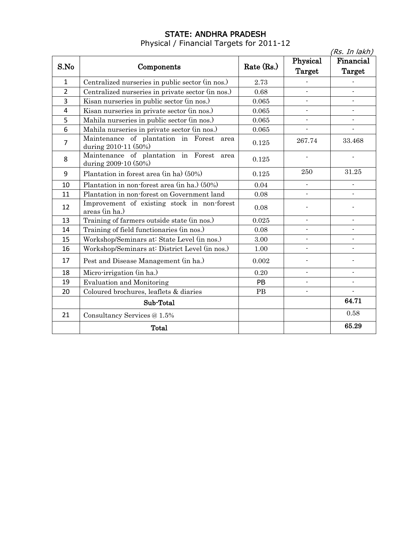### STATE: ANDHRA PRADESH

Physical / Financial Targets for 2011-12

|                |                                                                     |            |                          | (Rs. In lakh)            |
|----------------|---------------------------------------------------------------------|------------|--------------------------|--------------------------|
|                |                                                                     |            | Physical                 | Financial                |
| S.No           | Components                                                          | Rate (Rs.) | <b>Target</b>            | <b>Target</b>            |
| 1              | Centralized nurseries in public sector (in nos.)                    | 2.73       |                          |                          |
| $\overline{2}$ | Centralized nurseries in private sector (in nos.)                   | 0.68       |                          |                          |
| 3              | Kisan nurseries in public sector (in nos.)                          | 0.065      | $\overline{\phantom{a}}$ | $\overline{\phantom{a}}$ |
| 4              | Kisan nurseries in private sector (in nos.)                         | 0.065      |                          |                          |
| 5              | Mahila nurseries in public sector (in nos.)                         | 0.065      | $\overline{\phantom{a}}$ | $\overline{\phantom{a}}$ |
| 6              | Mahila nurseries in private sector (in nos.)                        | 0.065      | $\overline{\phantom{a}}$ | $\overline{a}$           |
| 7              | Maintenance of plantation in Forest<br>area<br>during 2010-11 (50%) | 0.125      | 267.74                   | 33.468                   |
| 8              | Maintenance of plantation in Forest<br>area<br>during 2009-10 (50%) | 0.125      |                          |                          |
| 9              | Plantation in forest area (in ha) (50%)                             | 0.125      | 250                      | 31.25                    |
| 10             | Plantation in non-forest area (in ha.) (50%)                        | 0.04       |                          |                          |
| 11             | Plantation in non-forest on Government land                         | 0.08       |                          |                          |
| 12             | Improvement of existing stock in non-forest<br>areas (in ha.)       | 0.08       |                          |                          |
| 13             | Training of farmers outside state (in nos.)                         | 0.025      | $\blacksquare$           |                          |
| 14             | Training of field functionaries (in nos.)                           | 0.08       | $\overline{a}$           |                          |
| 15             | Workshop/Seminars at: State Level (in nos.)                         | 3.00       |                          | $\overline{a}$           |
| 16             | Workshop/Seminars at: District Level (in nos.)                      | 1.00       | $\blacksquare$           | $\overline{\phantom{0}}$ |
| 17             | Pest and Disease Management (in ha.)                                | 0.002      |                          |                          |
| 18             | Micro-irrigation (in ha.)                                           | 0.20       | $\blacksquare$           | $\overline{a}$           |
| 19             | <b>Evaluation and Monitoring</b>                                    | PB         |                          |                          |
| 20             | Coloured brochures, leaflets & diaries                              | PB         |                          | $\overline{a}$           |
|                | Sub-Total                                                           |            |                          | 64.71                    |
| 21             | Consultancy Services @ 1.5%                                         |            |                          | 0.58                     |
|                | Total                                                               |            |                          | 65.29                    |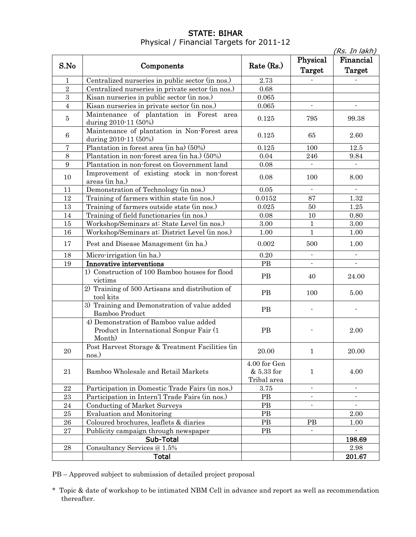#### STATE: BIHAR Physical / Financial Targets for 2011-12

|                  |                                                                                              |                                           |                          | (Rs. In lakh)            |
|------------------|----------------------------------------------------------------------------------------------|-------------------------------------------|--------------------------|--------------------------|
|                  | Components                                                                                   |                                           | Physical                 | Financial                |
| S.No             |                                                                                              | Rate $(Rs.)$                              | Target                   | Target                   |
| $\mathbf{1}$     | Centralized nurseries in public sector (in nos.)                                             | 2.73                                      |                          |                          |
| $\overline{2}$   | Centralized nurseries in private sector (in nos.)                                            | 0.68                                      |                          |                          |
| 3                | Kisan nurseries in public sector (in nos.)                                                   | 0.065                                     |                          |                          |
| $\overline{4}$   | Kisan nurseries in private sector (in nos.)                                                  | 0.065                                     | $\blacksquare$           | $\overline{a}$           |
| $\bf 5$          | Maintenance of plantation in Forest area<br>during 2010-11 (50%)                             | 0.125                                     | 795                      | 99.38                    |
| $\,6\,$          | Maintenance of plantation in Non-Forest area<br>during 2010-11 (50%)                         | 0.125                                     | 65                       | 2.60                     |
| 7                | Plantation in forest area (in ha) (50%)                                                      | 0.125                                     | 100                      | 12.5                     |
| 8                | Plantation in non-forest area (in ha.) (50%)                                                 | 0.04                                      | 246                      | 9.84                     |
| $\boldsymbol{9}$ | Plantation in non-forest on Government land                                                  | 0.08                                      | $\blacksquare$           |                          |
| 10               | Improvement of existing stock in non-forest<br>areas (in ha.)                                | 0.08                                      | 100                      | 8.00                     |
| 11               | Demonstration of Technology (in nos.)                                                        | $0.05\,$                                  |                          |                          |
| 12               | Training of farmers within state (in nos.)                                                   | 0.0152                                    | 87                       | 1.32                     |
| 13               | Training of farmers outside state (in nos.)                                                  | 0.025                                     | 50                       | 1.25                     |
| 14               | Training of field functionaries (in nos.)                                                    | 0.08                                      | 10                       | 0.80                     |
| 15               | Workshop/Seminars at: State Level (in nos.)                                                  | $3.00\,$                                  | $\mathbf{1}$             | 3.00                     |
| 16               | Workshop/Seminars at: District Level (in nos.)                                               | 1.00                                      | $\mathbf{1}$             | 1.00                     |
| 17               | Pest and Disease Management (in ha.)                                                         | 0.002                                     | 500                      | 1.00                     |
| 18               | Micro-irrigation (in ha.)                                                                    | 0.20                                      | $\blacksquare$           | $\overline{\phantom{a}}$ |
| 19               | Innovative interventions                                                                     | PB                                        | $\blacksquare$           | $\blacksquare$           |
|                  | 1) Construction of 100 Bamboo houses for flood<br>victims                                    | <b>PB</b>                                 | 40                       | 24.00                    |
|                  | 2) Training of 500 Artisans and distribution of<br>tool kits                                 | <b>PB</b>                                 | 100                      | 5.00                     |
|                  | 3) Training and Demonstration of value added<br>Bamboo Product                               | <b>PB</b>                                 |                          |                          |
|                  | 4) Demonstration of Bamboo value added<br>Product in International Sonpur Fair (1)<br>Month) | PB                                        |                          | 2.00                     |
| 20               | Post Harvest Storage & Treatment Facilities (in<br>nos.)                                     | 20.00                                     | 1                        | 20.00                    |
| 21               | Bamboo Wholesale and Retail Markets                                                          | 4.00 for Gen<br>& 5.33 for<br>Tribal area | $\mathbf{1}$             | 4.00                     |
| $\bf{22}$        | Participation in Domestic Trade Fairs (in nos.)                                              | 3.75                                      | $\blacksquare$           | $\overline{\phantom{a}}$ |
| 23               | Participation in Intern'l Trade Fairs (in nos.)                                              | PB                                        |                          |                          |
| 24               | <b>Conducting of Market Surveys</b>                                                          | PB                                        | $\overline{\phantom{0}}$ |                          |
| $\bf 25$         | <b>Evaluation and Monitoring</b>                                                             | PB                                        |                          | 2.00                     |
| ${\bf 26}$       | Coloured brochures, leaflets & diaries                                                       | PB                                        | $\rm{PB}$                | 1.00                     |
| 27               | Publicity campaign through newspaper                                                         | PB                                        | $\mathbf{r}$             |                          |
|                  | Sub-Total                                                                                    |                                           |                          | 198.69                   |
| 28               | Consultancy Services @ 1.5%                                                                  |                                           |                          | 2.98                     |
|                  | <b>Total</b>                                                                                 |                                           |                          | 201.67                   |

PB – Approved subject to submission of detailed project proposal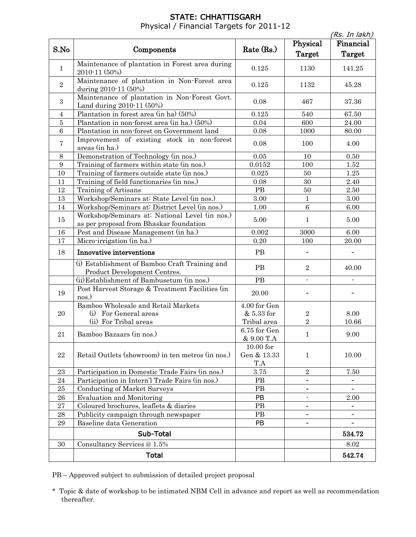# STATE: CHHATTISGARH Physical / Financial Targets for 2011-12

|                  |                                                                                           |                                   |                          | (Rs. <u>In lakh)</u>       |
|------------------|-------------------------------------------------------------------------------------------|-----------------------------------|--------------------------|----------------------------|
| S.No             | Components                                                                                | Rate $(Rs.)$                      | Physical<br>Target       | Financial<br><b>Target</b> |
| $\mathbf{1}$     | Maintenance of plantation in Forest area during<br>2010-11 (50%)                          | 0.125                             | 1130                     | 141.25                     |
| $\sqrt{2}$       | Maintenance of plantation in Non-Forest area<br>during 2010-11 (50%)                      | 0.125                             | 1132                     | 45.28                      |
| $\boldsymbol{3}$ | Maintenance of plantation in Non-Forest Govt.<br>Land during 2010-11 (50%)                | 0.08                              | 467                      | 37.36                      |
| 4                | Plantation in forest area (in ha) (50%)                                                   | 0.125                             | 540                      | 67.50                      |
| $\bf 5$          | Plantation in non-forest area (in ha.) (50%)                                              | 0.04                              | 600                      | 24.00                      |
| $\,6$            | Plantation in non-forest on Government land                                               | 0.08                              | 1000                     | 80.00                      |
| 7                | Improvement of existing stock in non-forest<br>areas (in ha.)                             | 0.08                              | 100                      | 4.00                       |
| $8\,$            | Demonstration of Technology (in nos.)                                                     | $\rm 0.05$                        | 10                       | $0.50\,$                   |
| $\boldsymbol{9}$ | Training of farmers within state (in nos.)                                                | $\,0.0152\,$                      | 100                      | 1.52                       |
| 10               | Training of farmers outside state (in nos.)                                               | 0.025                             | 50                       | $1.25\,$                   |
| 11               | Training of field functionaries (in nos.)                                                 | 0.08                              | 30                       | 2.40                       |
| 12               | Training of Artisans                                                                      | $\rm{PB}$                         | 50                       | $2.50\,$                   |
| 13               | Workshop/Seminars at: State Level (in nos.)                                               | $3.00\,$                          | $\mathbf{1}$             | $3.00\,$                   |
| 14               | Workshop/Seminars at: District Level (in nos.)                                            | 1.00                              | $\overline{6}$           | 6.00                       |
| 15               | Workshop/Seminars at: National Level (in nos.)<br>as per proposal from Bhaskar foundation | 5.00                              | $\mathbf{1}$             | 5.00                       |
| 16               | Pest and Disease Management (in ha.)                                                      | 0.002                             | 3000                     | 6.00                       |
| 17               | Micro-irrigation (in ha.)                                                                 | 0.20                              | 100                      | 20.00                      |
| 18               | Innovative interventions                                                                  | PB                                |                          |                            |
|                  | (i) Establishment of Bamboo Craft Training and<br>Product Development Centres.            | PB                                | $\overline{2}$           | 40.00                      |
|                  | (ii) Establishment of Bambusetum (in nos.)                                                | PB                                | $\overline{a}$           |                            |
| 19               | Post Harvest Storage & Treatment Facilities (in<br>nos.)                                  | 20.00                             |                          | $\overline{\phantom{0}}$   |
|                  | Bamboo Wholesale and Retail Markets                                                       | 4.00 for Gen                      |                          |                            |
| 20               | (i) For General areas                                                                     | & 5.33 for                        | 2                        | 8.00                       |
|                  | (ii) For Tribal areas                                                                     | Tribal area                       | $\overline{2}$           | 10.66                      |
| 21               | Bamboo Bazaars (in nos.)                                                                  | 6.75 for Gen<br>& 9.00 T.A        | 1                        | 9.00                       |
| 22               | Retail Outlets (showroom) in ten metros (in nos.)                                         | $10.00$ for<br>Gen & 13.33<br>T.A | $\mathbf{1}$             | 10.00                      |
| $\bf 23$         | Participation in Domestic Trade Fairs (in nos.)                                           | $3.75\,$                          | $\overline{2}$           | $7.50\,$                   |
| 24               | Participation in Intern'l Trade Fairs (in nos.)                                           | PB                                | $\overline{\phantom{a}}$ | $\overline{\phantom{0}}$   |
| 25               | <b>Conducting of Market Surveys</b>                                                       | PB                                | $\overline{\phantom{0}}$ | $\overline{\phantom{0}}$   |
| 26               | <b>Evaluation and Monitoring</b>                                                          | PB                                | ÷.                       | 2.00                       |
| 27               | Coloured brochures, leaflets & diaries                                                    | $\rm{PB}$                         | -                        |                            |
| ${\bf 28}$       | Publicity campaign through newspaper                                                      | PB                                |                          |                            |
| $\bf 29$         | Baseline data Generation                                                                  | PB                                | -                        |                            |
|                  | Sub-Total                                                                                 |                                   |                          | 534.72                     |
| 30               | Consultancy Services @ 1.5%                                                               |                                   |                          | 8.02                       |
|                  | <b>Total</b>                                                                              |                                   |                          | 542.74                     |

PB – Approved subject to submission of detailed project proposal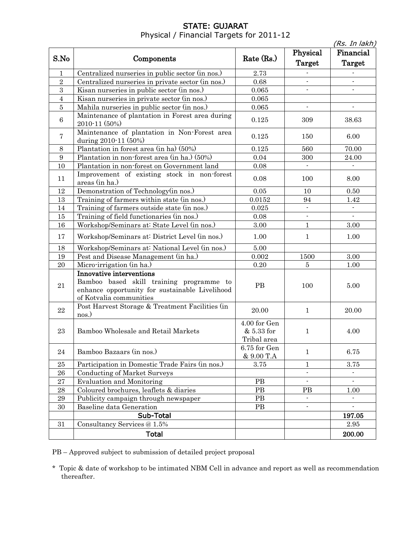## STATE: GUJARAT Physical / Financial Targets for 2011-12

|                |                                                                                                                                                   |                                           |                          | (Rs. In lakh)  |
|----------------|---------------------------------------------------------------------------------------------------------------------------------------------------|-------------------------------------------|--------------------------|----------------|
|                |                                                                                                                                                   |                                           | Physical                 | Financial      |
| S.No           | Components                                                                                                                                        | Rate (Rs.)                                | Target                   | Target         |
| $\mathbf{1}$   | Centralized nurseries in public sector (in nos.)                                                                                                  | 2.73                                      |                          |                |
| $\overline{2}$ | Centralized nurseries in private sector (in nos.)                                                                                                 | 0.68                                      | $\overline{a}$           | $\overline{a}$ |
| 3              | Kisan nurseries in public sector (in nos.)                                                                                                        | $\,0.065\,$                               |                          |                |
| $\overline{4}$ | Kisan nurseries in private sector (in nos.)                                                                                                       | $\,0.065\,$                               |                          |                |
| $\bf 5$        | Mahila nurseries in public sector (in nos.)                                                                                                       | 0.065                                     | $\blacksquare$           | $\overline{a}$ |
| 6              | Maintenance of plantation in Forest area during<br>2010-11 (50%)                                                                                  | 0.125                                     | 309                      | 38.63          |
| $\overline{7}$ | Maintenance of plantation in Non-Forest area<br>during 2010-11 (50%)                                                                              | 0.125                                     | 150                      | 6.00           |
| 8              | Plantation in forest area (in ha) (50%)                                                                                                           | 0.125                                     | 560                      | 70.00          |
| 9              | Plantation in non-forest area (in ha.) (50%)                                                                                                      | 0.04                                      | 300                      | 24.00          |
| $10\,$         | Plantation in non-forest on Government land                                                                                                       | $0.08\,$                                  | $\sim$                   |                |
| 11             | Improvement of existing stock in non-forest<br>areas (in ha.)                                                                                     | 0.08                                      | 100                      | 8.00           |
| 12             | Demonstration of Technology(in nos.)                                                                                                              | $0.05\,$                                  | 10                       | 0.50           |
| 13             | Training of farmers within state (in nos.)                                                                                                        | 0.0152                                    | 94                       | 1.42           |
| 14             | Training of farmers outside state (in nos.)                                                                                                       | 0.025                                     | L.                       |                |
| $15\,$         | Training of field functionaries (in nos.)                                                                                                         | 0.08                                      | $\overline{\phantom{a}}$ |                |
| 16             | Workshop/Seminars at: State Level (in nos.)                                                                                                       | 3.00                                      | $\mathbf{1}$             | 3.00           |
| 17             | Workshop/Seminars at: District Level (in nos.)                                                                                                    | 1.00                                      | $\mathbf{1}$             | 1.00           |
| 18             | Workshop/Seminars at: National Level (in nos.)                                                                                                    | 5.00                                      |                          |                |
| 19             | Pest and Disease Management (in ha.)                                                                                                              | $\,0.002\,$                               | 1500                     | $3.00\,$       |
| 20             | Micro-irrigation (in ha.)                                                                                                                         | 0.20                                      | $\overline{5}$           | 1.00           |
| 21             | Innovative interventions<br>Bamboo based skill training programme to<br>enhance opportunity for sustainable Livelihood<br>of Kotvalia communities | <b>PB</b>                                 | 100                      | 5.00           |
| 22             | Post Harvest Storage & Treatment Facilities (in<br>nos.)                                                                                          | 20.00                                     | $\mathbf{1}$             | 20.00          |
| 23             | Bamboo Wholesale and Retail Markets                                                                                                               | 4.00 for Gen<br>& 5.33 for<br>Tribal area | 1                        | 4.00           |
| 24             | Bamboo Bazaars (in nos.)                                                                                                                          | 6.75 for Gen<br>& 9.00 T.A                | $\mathbf{1}$             | 6.75           |
| 25             | Participation in Domestic Trade Fairs (in nos.)                                                                                                   | 3.75                                      | 1                        | 3.75           |
| 26             | Conducting of Market Surveys                                                                                                                      |                                           | $\overline{\phantom{a}}$ |                |
| $\bf 27$       | <b>Evaluation and Monitoring</b>                                                                                                                  | PB                                        | $\overline{\phantom{a}}$ |                |
| 28             | Coloured brochures, leaflets & diaries                                                                                                            | PB                                        | PB                       | $1.00\,$       |
| 29             | Publicity campaign through newspaper                                                                                                              | PB                                        | $\blacksquare$           |                |
| 30             | Baseline data Generation                                                                                                                          | PB                                        | $\overline{\phantom{a}}$ | $\mathbf{r}$   |
|                | Sub-Total                                                                                                                                         |                                           |                          | 197.05         |
| 31             | Consultancy Services @ 1.5%                                                                                                                       |                                           |                          | 2.95           |
|                | <b>Total</b>                                                                                                                                      |                                           |                          | 200.00         |

PB – Approved subject to submission of detailed project proposal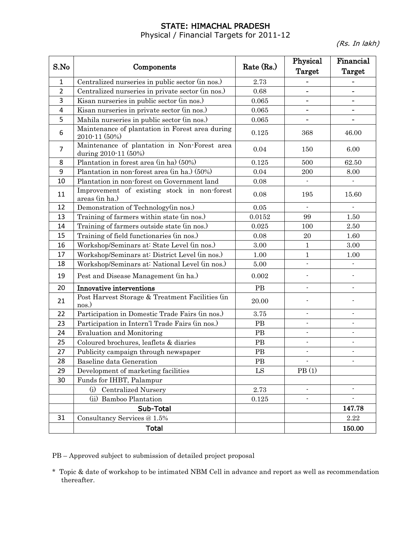## STATE: HIMACHAL PRADESH

Physical / Financial Targets for 2011-12

(Rs. In lakh)

|                |                                                                      |            | Physical                 | Financial                |
|----------------|----------------------------------------------------------------------|------------|--------------------------|--------------------------|
| S.No           | Components                                                           | Rate (Rs.) | <b>Target</b>            | <b>Target</b>            |
| $\mathbf{1}$   | Centralized nurseries in public sector (in nos.)                     | 2.73       |                          |                          |
| 2              | Centralized nurseries in private sector (in nos.)                    | 0.68       |                          |                          |
| 3              | Kisan nurseries in public sector (in nos.)                           | 0.065      | $\overline{\phantom{a}}$ | $\overline{\phantom{0}}$ |
| 4              | Kisan nurseries in private sector (in nos.)                          | 0.065      | $\overline{\phantom{0}}$ | $\overline{\phantom{0}}$ |
| 5              | Mahila nurseries in public sector (in nos.)                          | 0.065      |                          |                          |
| 6              | Maintenance of plantation in Forest area during<br>2010-11 (50%)     | 0.125      | 368                      | 46.00                    |
| $\overline{7}$ | Maintenance of plantation in Non-Forest area<br>during 2010-11 (50%) | 0.04       | 150                      | 6.00                     |
| 8              | Plantation in forest area (in ha) (50%)                              | 0.125      | 500                      | 62.50                    |
| 9              | Plantation in non-forest area (in ha.) (50%)                         | 0.04       | 200                      | 8.00                     |
| 10             | Plantation in non-forest on Government land                          | 0.08       |                          |                          |
| 11             | Improvement of existing stock in non-forest<br>areas (in ha.)        | 0.08       | 195                      | 15.60                    |
| 12             | Demonstration of Technology(in nos.)                                 | $0.05\,$   |                          |                          |
| 13             | Training of farmers within state (in nos.)                           | 0.0152     | 99                       | 1.50                     |
| 14             | Training of farmers outside state (in nos.)                          | 0.025      | 100                      | 2.50                     |
| 15             | Training of field functionaries (in nos.)                            | 0.08       | 20                       | 1.60                     |
| 16             | Workshop/Seminars at: State Level (in nos.)                          | 3.00       | $\mathbf{1}$             | 3.00                     |
| 17             | Workshop/Seminars at: District Level (in nos.)                       | 1.00       | $\mathbf{1}$             | 1.00                     |
| 18             | Workshop/Seminars at: National Level (in nos.)                       | $5.00\,$   | $\overline{a}$           |                          |
| 19             | Pest and Disease Management (in ha.)                                 | 0.002      | $\overline{\phantom{a}}$ | $\overline{\phantom{a}}$ |
| 20             | Innovative interventions                                             | $\rm{PB}$  | $\blacksquare$           | $\overline{\phantom{0}}$ |
| 21             | Post Harvest Storage & Treatment Facilities (in<br>nos.)             | 20.00      |                          |                          |
| 22             | Participation in Domestic Trade Fairs (in nos.)                      | 3.75       | $\blacksquare$           | $\overline{\phantom{0}}$ |
| 23             | Participation in Intern'l Trade Fairs (in nos.)                      | PB         | $\blacksquare$           |                          |
| 24             | <b>Evaluation and Monitoring</b>                                     | PB         | $\overline{\phantom{a}}$ | $\overline{\phantom{a}}$ |
| 25             | Coloured brochures, leaflets & diaries                               | PB         | $\blacksquare$           | $\blacksquare$           |
| 27             | Publicity campaign through newspaper                                 | PB         |                          |                          |
| 28             | Baseline data Generation                                             | PB         |                          |                          |
| 29             | Development of marketing facilities                                  | ${\rm LS}$ | PB(1)                    |                          |
| 30             | Funds for IHBT, Palampur                                             |            |                          |                          |
|                | <b>Centralized Nursery</b><br>(i)                                    | 2.73       | $\blacksquare$           | $\blacksquare$           |
|                | (ii) Bamboo Plantation                                               | $0.125\,$  | $\blacksquare$           |                          |
|                | Sub-Total                                                            |            |                          | 147.78                   |
| 31             | Consultancy Services @ 1.5%                                          |            |                          | 2.22                     |
|                | <b>Total</b>                                                         |            |                          | 150.00                   |

PB – Approved subject to submission of detailed project proposal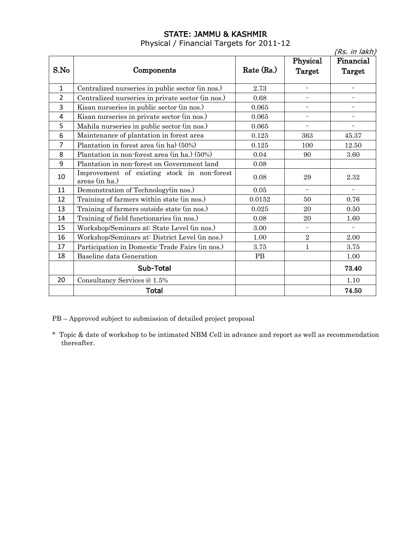### STATE: JAMMU & KASHMIR

Physical / Financial Targets for 2011-12

|                |                                                               |              |                          | (Rs. in lakh)            |
|----------------|---------------------------------------------------------------|--------------|--------------------------|--------------------------|
|                |                                                               |              | Physical                 | Financial                |
| S.No           | Components                                                    | Rate $(Rs.)$ | Target                   | Target                   |
|                |                                                               |              |                          |                          |
| $\mathbf{1}$   | Centralized nurseries in public sector (in nos.)              | 2.73         |                          |                          |
| $\overline{2}$ | Centralized nurseries in private sector (in nos.)             | 0.68         |                          |                          |
| 3              | Kisan nurseries in public sector (in nos.)                    | 0.065        | $\overline{\phantom{0}}$ |                          |
| 4              | Kisan nurseries in private sector (in nos.)                   | 0.065        | $\blacksquare$           | $\overline{\phantom{0}}$ |
| 5              | Mahila nurseries in public sector (in nos.)                   | 0.065        | $\overline{\phantom{a}}$ | $\overline{\phantom{a}}$ |
| 6              | Maintenance of plantation in forest area                      | 0.125        | 363                      | 45.37                    |
| 7              | Plantation in forest area (in ha) (50%)                       | 0.125        | 100                      | 12.50                    |
| 8              | Plantation in non-forest area (in ha.) (50%)                  | 0.04         | 90                       | 3.60                     |
| 9              | Plantation in non-forest on Government land                   | 0.08         |                          |                          |
| 10             | Improvement of existing stock in non-forest<br>areas (in ha.) | 0.08         | 29                       | 2.32                     |
| 11             | Demonstration of Technology(in nos.)                          | 0.05         | $\blacksquare$           | $\blacksquare$           |
| 12             | Training of farmers within state (in nos.)                    | 0.0152       | 50                       | 0.76                     |
| 13             | Training of farmers outside state (in nos.)                   | 0.025        | 20                       | 0.50                     |
| 14             | Training of field functionaries (in nos.)                     | 0.08         | 20                       | 1.60                     |
| 15             | Workshop/Seminars at: State Level (in nos.)                   | 3.00         | $\overline{\phantom{0}}$ |                          |
| 16             | Workshop/Seminars at: District Level (in nos.)                | 1.00         | $\sqrt{2}$               | 2.00                     |
| 17             | Participation in Domestic Trade Fairs (in nos.)               | $3.75\,$     | $\mathbf{1}$             | 3.75                     |
| 18             | Baseline data Generation                                      | PB           |                          | 1.00                     |
|                | Sub-Total                                                     |              |                          | 73.40                    |
| 20             | Consultancy Services @ 1.5%                                   |              |                          | 1.10                     |
|                | <b>Total</b>                                                  |              |                          | 74.50                    |

PB – Approved subject to submission of detailed project proposal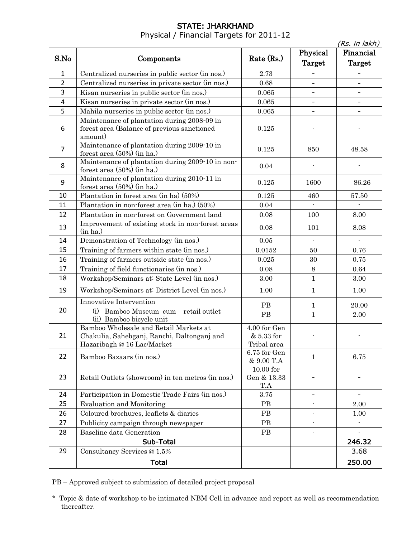#### STATE: JHARKHAND Physical / Financial Targets for 2011-12

|                |                                                                                                                     |                                           |                              | (Rs. in lakh)             |
|----------------|---------------------------------------------------------------------------------------------------------------------|-------------------------------------------|------------------------------|---------------------------|
| S.No           | Components                                                                                                          | Rate (Rs.)                                | Physical<br>Target           | Financial<br>Target       |
| $\mathbf{1}$   | Centralized nurseries in public sector (in nos.)                                                                    | 2.73                                      |                              |                           |
| $\overline{2}$ | Centralized nurseries in private sector (in nos.)                                                                   | 0.68                                      | -                            |                           |
| 3              | Kisan nurseries in public sector (in nos.)                                                                          | 0.065                                     | $\qquad \qquad \blacksquare$ | $\overline{\phantom{0}}$  |
| $\overline{4}$ | Kisan nurseries in private sector (in nos.)                                                                         | 0.065                                     |                              |                           |
| 5              | Mahila nurseries in public sector (in nos.)                                                                         | 0.065                                     |                              |                           |
| 6              | Maintenance of plantation during 2008-09 in<br>forest area (Balance of previous sanctioned<br>amount)               | 0.125                                     |                              |                           |
| $\overline{7}$ | Maintenance of plantation during 2009-10 in<br>forest area (50%) (in ha.)                                           | 0.125                                     | 850                          | 48.58                     |
| 8              | Maintenance of plantation during 2009-10 in non-<br>forest area (50%) (in ha.)                                      | 0.04                                      |                              |                           |
| 9              | Maintenance of plantation during 2010-11 in<br>forest area (50%) (in ha.)                                           | 0.125                                     | 1600                         | 86.26                     |
| 10             | Plantation in forest area (in ha) (50%)                                                                             | 0.125                                     | 460                          | 57.50                     |
| 11             | Plantation in non-forest area (in ha.) (50%)                                                                        | 0.04                                      |                              |                           |
| 12             | Plantation in non-forest on Government land                                                                         | 0.08                                      | 100                          | 8.00                      |
| 13             | Improvement of existing stock in non-forest areas<br>(in ha.)                                                       | 0.08                                      | 101                          | 8.08                      |
| 14             | Demonstration of Technology (in nos.)                                                                               | $0.05\,$                                  | $\overline{a}$               | $\mathbb{Z}^{\mathbb{Z}}$ |
| 15             | Training of farmers within state (in nos.)                                                                          | 0.0152                                    | 50                           | 0.76                      |
| 16             | Training of farmers outside state (in nos.)                                                                         | 0.025                                     | 30                           | 0.75                      |
| 17             | Training of field functionaries (in nos.)                                                                           | 0.08                                      | 8                            | 0.64                      |
| 18             | Workshop/Seminars at: State Level (in nos.)                                                                         | 3.00                                      | $\mathbf{1}$                 | 3.00                      |
| 19             | Workshop/Seminars at: District Level (in nos.)                                                                      | 1.00                                      | $\mathbf{1}$                 | 1.00                      |
| 20             | <b>Innovative Intervention</b><br>(i) Bamboo Museum-cum - retail outlet<br>(ii) Bamboo bicycle unit                 | PB<br>PB                                  | $\mathbf{1}$<br>$\mathbf{1}$ | 20.00<br>$2.00\,$         |
| 21             | Bamboo Wholesale and Retail Markets at<br>Chakulia, Sahebganj, Ranchi, Daltonganj and<br>Hazaribagh @ 16 Lac/Market | 4.00 for Gen<br>& 5.33 for<br>Tribal area |                              |                           |
| 22             | Bamboo Bazaars (in nos.)                                                                                            | 6.75 for Gen<br>& 9.00 T.A                | $\mathbf{1}$                 | 6.75                      |
| 23             | Retail Outlets (showroom) in ten metros (in nos.)                                                                   | $10.00$ for<br>Gen & 13.33<br>T.A         |                              |                           |
| 24             | Participation in Domestic Trade Fairs (in nos.)                                                                     | 3.75                                      |                              | ÷,                        |
| 25             | <b>Evaluation and Monitoring</b>                                                                                    | <b>PB</b>                                 |                              | 2.00                      |
| 26             | Coloured brochures, leaflets & diaries                                                                              | PB                                        | $\overline{\phantom{a}}$     | 1.00                      |
| 27             | Publicity campaign through newspaper                                                                                | PB                                        |                              |                           |
| 28             | Baseline data Generation                                                                                            | PB                                        | $\overline{a}$               | $\overline{a}$            |
|                | Sub-Total                                                                                                           |                                           |                              | 246.32                    |
| 29             | Consultancy Services @ 1.5%                                                                                         |                                           |                              | 3.68                      |
|                | <b>Total</b>                                                                                                        |                                           |                              | 250.00                    |

PB – Approved subject to submission of detailed project proposal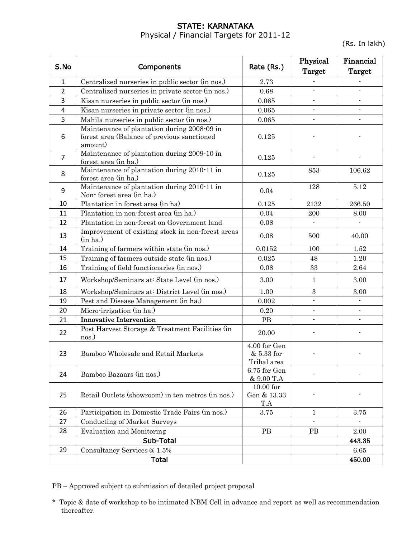#### STATE: KARNATAKA Physical / Financial Targets for 2011-12

(Rs. In lakh)

|                |                                                                                                       |                                           | Physical       | Financial                |
|----------------|-------------------------------------------------------------------------------------------------------|-------------------------------------------|----------------|--------------------------|
| S.No           | Components                                                                                            | Rate (Rs.)                                | Target         | Target                   |
| $\mathbf{1}$   | Centralized nurseries in public sector (in nos.)                                                      | 2.73                                      |                |                          |
| $\overline{2}$ | Centralized nurseries in private sector (in nos.)                                                     | 0.68                                      | $\overline{a}$ |                          |
| 3              | Kisan nurseries in public sector (in nos.)                                                            | 0.065                                     | $\blacksquare$ | $\overline{\phantom{a}}$ |
| 4              | Kisan nurseries in private sector (in nos.)                                                           | 0.065                                     | $\blacksquare$ | $\overline{\phantom{0}}$ |
| 5              | Mahila nurseries in public sector (in nos.)                                                           | 0.065                                     | $\overline{a}$ |                          |
| 6              | Maintenance of plantation during 2008-09 in<br>forest area (Balance of previous sanctioned<br>amount) | 0.125                                     |                |                          |
| $\overline{7}$ | Maintenance of plantation during 2009-10 in<br>forest area (in ha.)                                   | 0.125                                     |                |                          |
| 8              | Maintenance of plantation during 2010-11 in<br>forest area (in ha.)                                   | 0.125                                     | 853            | 106.62                   |
| 9              | Maintenance of plantation during 2010-11 in<br>Non-forest area (in ha.)                               | 0.04                                      | 128            | 5.12                     |
| 10             | Plantation in forest area (in ha)                                                                     | 0.125                                     | 2132           | 266.50                   |
| 11             | Plantation in non-forest area (in ha.)                                                                | 0.04                                      | 200            | 8.00                     |
| 12             | Plantation in non-forest on Government land                                                           | 0.08                                      | $\blacksquare$ | $\blacksquare$           |
| 13             | Improvement of existing stock in non-forest areas<br>(in ha.)                                         | 0.08                                      | 500            | 40.00                    |
| 14             | Training of farmers within state (in nos.)                                                            | 0.0152                                    | 100            | 1.52                     |
| 15             | Training of farmers outside state (in nos.)                                                           | 0.025                                     | 48             | 1.20                     |
| 16             | Training of field functionaries (in nos.)                                                             | 0.08                                      | 33             | 2.64                     |
| 17             | Workshop/Seminars at: State Level (in nos.)                                                           | 3.00                                      | $\mathbf{1}$   | 3.00                     |
| 18             | Workshop/Seminars at: District Level (in nos.)                                                        | 1.00                                      | $\,3$          | 3.00                     |
| 19             | Pest and Disease Management (in ha.)                                                                  | 0.002                                     | $\overline{a}$ | $\overline{a}$           |
| 20             | Micro-irrigation (in ha.)                                                                             | $0.20\,$                                  | $\frac{1}{2}$  |                          |
| 21             | <b>Innovative Intervention</b>                                                                        | PB                                        | $\frac{1}{2}$  | $\overline{a}$           |
| 22             | Post Harvest Storage & Treatment Facilities (in<br>nos.)                                              | 20.00                                     |                |                          |
| 23             | Bamboo Wholesale and Retail Markets                                                                   | 4.00 for Gen<br>& 5.33 for<br>Tribal area |                |                          |
| 24             | Bamboo Bazaars (in nos.)                                                                              | 6.75 for Gen<br>& 9.00 T.A                |                |                          |
| 25             | Retail Outlets (showroom) in ten metros (in nos.)                                                     | $10.00$ for<br>Gen & 13.33<br>T.A         |                |                          |
| 26             | Participation in Domestic Trade Fairs (in nos.)                                                       | 3.75                                      | 1              | 3.75                     |
| 27             | <b>Conducting of Market Surveys</b>                                                                   |                                           |                |                          |
| 28             | <b>Evaluation and Monitoring</b>                                                                      | $\rm{PB}$                                 | <b>PB</b>      | 2.00                     |
|                | Sub-Total                                                                                             |                                           |                | 443.35                   |
| 29             | Consultancy Services @ 1.5%                                                                           |                                           |                | 6.65                     |
|                | <b>Total</b>                                                                                          |                                           |                | 450.00                   |

PB – Approved subject to submission of detailed project proposal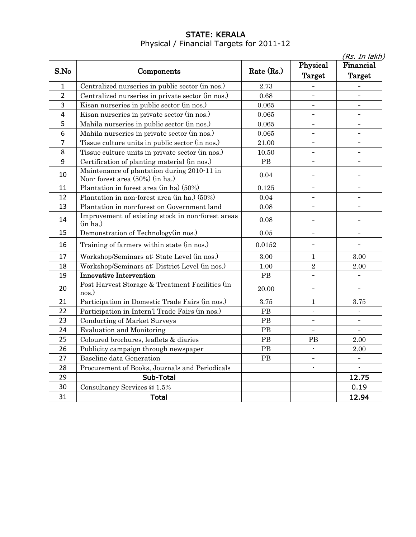### STATE: KERALA Physical / Financial Targets for 2011-12

|                |                                                                               |            |                          | (Rs. In lakh)            |
|----------------|-------------------------------------------------------------------------------|------------|--------------------------|--------------------------|
| S.No           |                                                                               | Rate (Rs.) | Physical                 | Financial                |
|                | Components                                                                    |            | Target                   | Target                   |
| $\mathbf{1}$   | Centralized nurseries in public sector (in nos.)                              | 2.73       | $\overline{\phantom{a}}$ |                          |
| $\overline{2}$ | Centralized nurseries in private sector (in nos.)                             | 0.68       | $\overline{\phantom{a}}$ | $\blacksquare$           |
| 3              | Kisan nurseries in public sector (in nos.)                                    | 0.065      | $\overline{\phantom{a}}$ | $\blacksquare$           |
| 4              | Kisan nurseries in private sector (in nos.)                                   | 0.065      | $\overline{\phantom{a}}$ | ۰                        |
| 5              | Mahila nurseries in public sector (in nos.)                                   | 0.065      | $\overline{\phantom{a}}$ | $\overline{\phantom{a}}$ |
| 6              | Mahila nurseries in private sector (in nos.)                                  | 0.065      | $\overline{\phantom{a}}$ | $\overline{\phantom{a}}$ |
| $\overline{7}$ | Tissue culture units in public sector (in nos.)                               | 21.00      | $\qquad \qquad -$        | $\overline{\phantom{a}}$ |
| 8              | Tissue culture units in private sector (in nos.)                              | 10.50      | $\qquad \qquad -$        | $\overline{\phantom{a}}$ |
| 9              | Certification of planting material (in nos.)                                  | PB         | $\qquad \qquad -$        | $\overline{\phantom{a}}$ |
| 10             | Maintenance of plantation during 2010-11 in<br>Non-forest area (50%) (in ha.) | 0.04       | $\overline{a}$           |                          |
| 11             | Plantation in forest area (in ha) (50%)                                       | 0.125      | $\overline{\phantom{a}}$ | $\blacksquare$           |
| 12             | Plantation in non-forest area (in ha.) (50%)                                  | 0.04       | L.                       | $\overline{\phantom{0}}$ |
| 13             | Plantation in non-forest on Government land                                   | 0.08       | $\overline{\phantom{0}}$ | $\overline{\phantom{0}}$ |
| 14             | Improvement of existing stock in non-forest areas<br>(in ha.)                 | 0.08       | L,                       |                          |
| 15             | Demonstration of Technology(in nos.)                                          | $0.05\,$   | ÷,                       |                          |
| 16             | Training of farmers within state (in nos.)                                    | 0.0152     | $\overline{a}$           |                          |
| 17             | Workshop/Seminars at: State Level (in nos.)                                   | 3.00       | 1                        | 3.00                     |
| 18             | Workshop/Seminars at: District Level (in nos.)                                | 1.00       | $\overline{2}$           | 2.00                     |
| 19             | <b>Innovative Intervention</b>                                                | PB         | $\overline{a}$           |                          |
| 20             | Post Harvest Storage & Treatment Facilities (in<br>nos.)                      | 20.00      | ٠                        | $\overline{\phantom{a}}$ |
| 21             | Participation in Domestic Trade Fairs (in nos.)                               | 3.75       | 1                        | 3.75                     |
| 22             | Participation in Intern'l Trade Fairs (in nos.)                               | PB         |                          |                          |
| 23             | <b>Conducting of Market Surveys</b>                                           | PB         | $\overline{a}$           | $\qquad \qquad -$        |
| 24             | <b>Evaluation and Monitoring</b>                                              | PB         |                          | $\overline{\phantom{a}}$ |
| 25             | Coloured brochures, leaflets & diaries                                        | PB         | PВ                       | 2.00                     |
| 26             | Publicity campaign through newspaper                                          | PB         |                          | $2.00\,$                 |
| 27             | Baseline data Generation                                                      | <b>PB</b>  | $\overline{a}$           | -                        |
| 28             | Procurement of Books, Journals and Periodicals                                |            |                          | $\blacksquare$           |
| 29             | Sub-Total                                                                     |            |                          | 12.75                    |
| 30             | Consultancy Services @ 1.5%                                                   |            |                          | 0.19                     |
| 31             | <b>Total</b>                                                                  |            |                          | 12.94                    |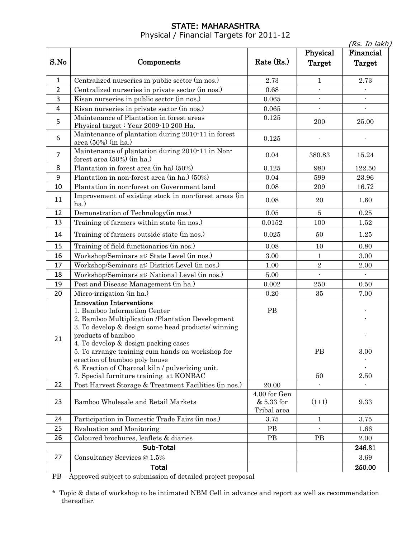# STATE: MAHARASHTRA

Physical / Financial Targets for 2011-12

|                |                                                                                                                                                                                                                                                                                                                                                                                                                             |                                           |                    | (Rs. In lakh)       |
|----------------|-----------------------------------------------------------------------------------------------------------------------------------------------------------------------------------------------------------------------------------------------------------------------------------------------------------------------------------------------------------------------------------------------------------------------------|-------------------------------------------|--------------------|---------------------|
| S.No           | Components                                                                                                                                                                                                                                                                                                                                                                                                                  | Rate $(Rs.)$                              | Physical<br>Target | Financial<br>Target |
| $\mathbf{1}$   | Centralized nurseries in public sector (in nos.)                                                                                                                                                                                                                                                                                                                                                                            | 2.73                                      | $\mathbf{1}$       | 2.73                |
| $\overline{2}$ | Centralized nurseries in private sector (in nos.)                                                                                                                                                                                                                                                                                                                                                                           | 0.68                                      | $\overline{a}$     |                     |
| 3              | Kisan nurseries in public sector (in nos.)                                                                                                                                                                                                                                                                                                                                                                                  | 0.065                                     |                    |                     |
| 4              | Kisan nurseries in private sector (in nos.)                                                                                                                                                                                                                                                                                                                                                                                 | 0.065                                     |                    |                     |
| 5              | Maintenance of Plantation in forest areas<br>Physical target: Year 2009-10 200 Ha.                                                                                                                                                                                                                                                                                                                                          | 0.125                                     | 200                | 25.00               |
| 6              | Maintenance of plantation during 2010-11 in forest<br>area (50%) (in ha.)                                                                                                                                                                                                                                                                                                                                                   | 0.125                                     |                    |                     |
| 7              | Maintenance of plantation during 2010-11 in Non-<br>forest area (50%) (in ha.)                                                                                                                                                                                                                                                                                                                                              | 0.04                                      | 380.83             | 15.24               |
| 8              | Plantation in forest area (in ha) (50%)                                                                                                                                                                                                                                                                                                                                                                                     | 0.125                                     | 980                | 122.50              |
| 9              | Plantation in non-forest area (in ha.) (50%)                                                                                                                                                                                                                                                                                                                                                                                | 0.04                                      | 599                | 23.96               |
| 10             | Plantation in non-forest on Government land                                                                                                                                                                                                                                                                                                                                                                                 | 0.08                                      | 209                | 16.72               |
| 11             | Improvement of existing stock in non-forest areas (in<br>ha.)                                                                                                                                                                                                                                                                                                                                                               | 0.08                                      | 20                 | 1.60                |
| 12             | Demonstration of Technology (in nos.)                                                                                                                                                                                                                                                                                                                                                                                       | $0.05\,$                                  | $\overline{5}$     | 0.25                |
| 13             | Training of farmers within state (in nos.)                                                                                                                                                                                                                                                                                                                                                                                  | 0.0152                                    | 100                | 1.52                |
| 14             | Training of farmers outside state (in nos.)                                                                                                                                                                                                                                                                                                                                                                                 | 0.025                                     | 50                 | 1.25                |
| 15             | Training of field functionaries (in nos.)                                                                                                                                                                                                                                                                                                                                                                                   | 0.08                                      | 10                 | 0.80                |
| 16             | Workshop/Seminars at: State Level (in nos.)                                                                                                                                                                                                                                                                                                                                                                                 | 3.00                                      | $\mathbf{1}$       | 3.00                |
| 17             | Workshop/Seminars at: District Level (in nos.)                                                                                                                                                                                                                                                                                                                                                                              | 1.00                                      | $\sqrt{2}$         | 2.00                |
| 18             | Workshop/Seminars at: National Level (in nos.)                                                                                                                                                                                                                                                                                                                                                                              | 5.00                                      | $\overline{a}$     |                     |
| 19             | Pest and Disease Management (in ha.)                                                                                                                                                                                                                                                                                                                                                                                        | 0.002                                     | 250                | 0.50                |
| 20             | Micro-irrigation (in ha.)                                                                                                                                                                                                                                                                                                                                                                                                   | 0.20                                      | 35                 | 7.00                |
| 21             | <b>Innovation Interventions</b><br>1. Bamboo Information Center<br>2. Bamboo Multiplication /Plantation Development<br>3. To develop & design some head products/ winning<br>products of bamboo<br>4. To develop & design packing cases<br>5. To arrange training cum hands on workshop for<br>erection of bamboo poly house<br>6. Erection of Charcoal kiln / pulverizing unit.<br>7. Special furniture training at KONBAC | PB                                        | <b>PB</b><br>50    | 3.00<br>2.50        |
| 22             | Post Harvest Storage & Treatment Facilities (in nos.)                                                                                                                                                                                                                                                                                                                                                                       | 20.00                                     |                    |                     |
| 23             | Bamboo Wholesale and Retail Markets                                                                                                                                                                                                                                                                                                                                                                                         | 4.00 for Gen<br>& 5.33 for<br>Tribal area | $(1+1)$            | 9.33                |
| 24             | Participation in Domestic Trade Fairs (in nos.)                                                                                                                                                                                                                                                                                                                                                                             | 3.75                                      | $\mathbf{1}$       | 3.75                |
| 25             | <b>Evaluation and Monitoring</b>                                                                                                                                                                                                                                                                                                                                                                                            | PB                                        | $\overline{a}$     | 1.66                |
| 26             | Coloured brochures, leaflets & diaries                                                                                                                                                                                                                                                                                                                                                                                      | <b>PB</b>                                 | PB                 | 2.00                |
|                | Sub-Total                                                                                                                                                                                                                                                                                                                                                                                                                   |                                           |                    | 246.31              |
| 27             | Consultancy Services @ 1.5%                                                                                                                                                                                                                                                                                                                                                                                                 |                                           |                    | 3.69                |
|                | <b>Total</b>                                                                                                                                                                                                                                                                                                                                                                                                                |                                           |                    | 250.00              |

PB – Approved subject to submission of detailed project proposal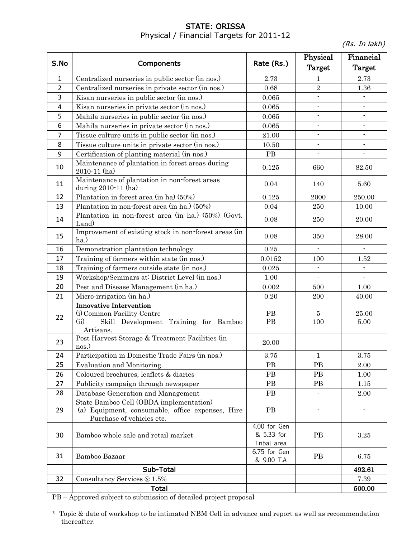## STATE: ORISSA Physical / Financial Targets for 2011-12

(Rs. In lakh)

| S.No           | Components                                                                                                                 | Rate (Rs.)                                | Physical<br>Target       | Financial<br><b>Target</b> |
|----------------|----------------------------------------------------------------------------------------------------------------------------|-------------------------------------------|--------------------------|----------------------------|
| 1              | Centralized nurseries in public sector (in nos.)                                                                           | 2.73                                      | 1                        | 2.73                       |
| $\overline{2}$ | Centralized nurseries in private sector (in nos.)                                                                          | 0.68                                      | $\overline{2}$           | 1.36                       |
| 3              | Kisan nurseries in public sector (in nos.)                                                                                 | 0.065                                     | $\overline{a}$           | $\overline{a}$             |
| 4              | Kisan nurseries in private sector (in nos.)                                                                                | 0.065                                     |                          |                            |
| 5              | Mahila nurseries in public sector (in nos.)                                                                                | 0.065                                     | $\blacksquare$           | $\blacksquare$             |
| 6              | Mahila nurseries in private sector (in nos.)                                                                               | 0.065                                     | $\blacksquare$           | $\blacksquare$             |
| $\overline{7}$ | Tissue culture units in public sector (in nos.)                                                                            | 21.00                                     |                          |                            |
| 8              | Tissue culture units in private sector (in nos.)                                                                           | 10.50                                     | $\overline{\phantom{a}}$ | $\overline{\phantom{a}}$   |
| 9              | Certification of planting material (in nos.)                                                                               | $\rm{PB}$                                 | $\overline{a}$           | $\blacksquare$             |
| 10             | Maintenance of plantation in forest areas during<br>2010-11 (ha)                                                           | 0.125                                     | 660                      | 82.50                      |
| 11             | Maintenance of plantation in non-forest areas<br>during 2010-11 (ha)                                                       | 0.04                                      | 140                      | 5.60                       |
| 12             | Plantation in forest area (in ha) (50%)                                                                                    | 0.125                                     | 2000                     | 250.00                     |
| 13             | Plantation in non-forest area (in ha.) (50%)                                                                               | 0.04                                      | 250                      | 10.00                      |
| 14             | Plantation in non-forest area (in ha.) (50%) (Govt.<br>Land)                                                               | 0.08                                      | 250                      | 20.00                      |
| 15             | Improvement of existing stock in non-forest areas (in<br>ha.)                                                              | 0.08                                      | 350                      | 28.00                      |
| 16             | Demonstration plantation technology                                                                                        | 0.25                                      | $\mathbf{r}$             |                            |
| 17             | Training of farmers within state (in nos.)                                                                                 | 0.0152                                    | 100                      | 1.52                       |
| 18             | Training of farmers outside state (in nos.)                                                                                | $\,0.025\,$                               |                          |                            |
| 19             | Workshop/Seminars at: District Level (in nos.)                                                                             | 1.00                                      | $\overline{a}$           |                            |
| 20             | Pest and Disease Management (in ha.)                                                                                       | 0.002                                     | 500                      | 1.00                       |
| 21             | Micro-irrigation (in ha.)                                                                                                  | 0.20                                      | 200                      | 40.00                      |
| 22             | <b>Innovative Intervention</b><br>(i) Common Facility Centre<br>(ii)<br>Skill Development Training for Bamboo<br>Artisans. | PB<br>$\rm{PB}$                           | $\overline{5}$<br>100    | 25.00<br>5.00              |
| 23             | Post Harvest Storage & Treatment Facilities (in<br>nos.)                                                                   | 20.00                                     |                          |                            |
| 24             | Participation in Domestic Trade Fairs (in nos.)                                                                            | 3.75                                      | 1                        | 3.75                       |
| 25             | <b>Evaluation and Monitoring</b>                                                                                           | <b>PB</b>                                 | PB                       | 2.00                       |
| 26             | Coloured brochures, leaflets & diaries                                                                                     | PB                                        | PB                       | 1.00                       |
| 27             | Publicity campaign through newspaper                                                                                       | PB                                        | PB                       | 1.15                       |
| 28             | Database Generation and Management                                                                                         | PB                                        |                          | 2.00                       |
| 29             | State Bamboo Cell (OBDA implementation)<br>(a) Equipment, consumable, office expenses, Hire<br>Purchase of vehicles etc.   | PB                                        |                          |                            |
| 30             | Bamboo whole sale and retail market                                                                                        | 4.00 for Gen<br>& 5.33 for<br>Tribal area | <b>PB</b>                | $3.25\,$                   |
| 31             | Bamboo Bazaar                                                                                                              | 6.75 for Gen<br>& 9.00 T.A                | <b>PB</b>                | 6.75                       |
|                | Sub-Total                                                                                                                  |                                           |                          | 492.61                     |
| 32             | Consultancy Services @ 1.5%                                                                                                |                                           |                          | 7.39                       |
|                | <b>Total</b>                                                                                                               |                                           |                          | 500.00                     |

PB – Approved subject to submission of detailed project proposal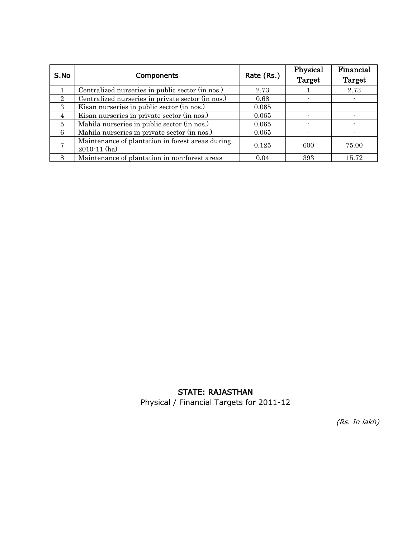| S.No           | <b>Components</b>                                                    | Rate (Rs.) | Physical<br>Target | Financial<br>Target |
|----------------|----------------------------------------------------------------------|------------|--------------------|---------------------|
|                | Centralized nurseries in public sector (in nos.)                     | 2.73       |                    | 2.73                |
| 2              | Centralized nurseries in private sector (in nos.)                    | 0.68       |                    |                     |
| $\mathcal{S}$  | Kisan nurseries in public sector (in nos.)                           | 0.065      |                    |                     |
| $\overline{4}$ | Kisan nurseries in private sector (in nos.)                          | 0.065      |                    |                     |
| 5              | Mahila nurseries in public sector (in nos.)                          | 0.065      |                    |                     |
| 6              | Mahila nurseries in private sector (in nos.)                         | 0.065      |                    |                     |
|                | Maintenance of plantation in forest areas during<br>$2010 - 11$ (ha) | 0.125      | 600                | 75.00               |
| 8              | Maintenance of plantation in non-forest areas                        | 0.04       | 393                | 15.72               |

#### STATE: RAJASTHAN

Physical / Financial Targets for 2011-12

(Rs. In lakh)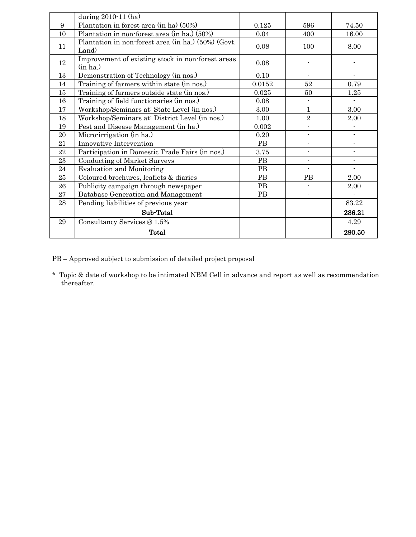|          | during 2010-11 (ha)                                           |           |                          |                |
|----------|---------------------------------------------------------------|-----------|--------------------------|----------------|
| 9        | Plantation in forest area (in ha) (50%)                       | 0.125     | 596                      | 74.50          |
| 10       | Plantation in non-forest area (in ha.) (50%)                  | 0.04      | 400                      | 16.00          |
| 11       | Plantation in non-forest area (in ha.) (50%) (Govt.<br>Land)  | 0.08      | 100                      | 8.00           |
| 12       | Improvement of existing stock in non-forest areas<br>(in ha.) | 0.08      |                          |                |
| 13       | Demonstration of Technology (in nos.)                         | 0.10      |                          |                |
| 14       | Training of farmers within state (in nos.)                    | 0.0152    | $52\,$                   | 0.79           |
| 15       | Training of farmers outside state (in nos.)                   | 0.025     | 50                       | 1.25           |
| 16       | Training of field functionaries (in nos.)                     | 0.08      | $\overline{\phantom{0}}$ |                |
| 17       | Workshop/Seminars at: State Level (in nos.)                   | 3.00      | 1                        | 3.00           |
| 18       | Workshop/Seminars at: District Level (in nos.)                | 1.00      | $\,2$                    | $2.00\,$       |
| 19       | Pest and Disease Management (in ha.)                          | 0.002     | ÷.                       |                |
| 20       | Micro-irrigation (in ha.)                                     | 0.20      | $\overline{\phantom{a}}$ | $\blacksquare$ |
| 21       | Innovative Intervention                                       | PB        | $\overline{\phantom{0}}$ |                |
| $\bf 22$ | Participation in Domestic Trade Fairs (in nos.)               | 3.75      | $\overline{\phantom{0}}$ |                |
| 23       | <b>Conducting of Market Surveys</b>                           | PB        | $\overline{\phantom{0}}$ | $\blacksquare$ |
| 24       | <b>Evaluation and Monitoring</b>                              | PB        | $\overline{\phantom{a}}$ | $\blacksquare$ |
| $25\,$   | Coloured brochures, leaflets & diaries                        | PB        | <b>PB</b>                | 2.00           |
| 26       | Publicity campaign through newspaper                          | PB        |                          | 2.00           |
| 27       | Database Generation and Management                            | <b>PB</b> | $\overline{\phantom{0}}$ |                |
| 28       | Pending liabilities of previous year                          |           |                          | 83.22          |
|          | Sub-Total                                                     |           |                          | 286.21         |
| 29       | Consultancy Services @ 1.5%                                   |           |                          | 4.29           |
|          | Total                                                         |           |                          | 290.50         |

PB – Approved subject to submission of detailed project proposal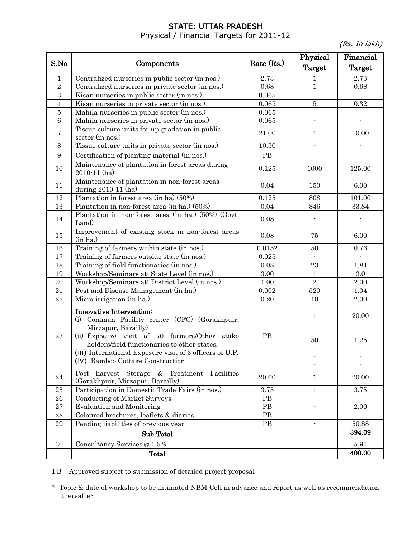# STATE: UTTAR PRADESH

Physical / Financial Targets for 2011-12

(Rs. In lakh)

|                |                                                                                                  |            | Physical                 | Financial                 |
|----------------|--------------------------------------------------------------------------------------------------|------------|--------------------------|---------------------------|
| S.No           | Components                                                                                       | Rate (Rs.) | Target                   | Target                    |
| $\mathbf{1}$   | Centralized nurseries in public sector (in nos.)                                                 | 2.73       | 1                        | 2.73                      |
| $\sqrt{2}$     | Centralized nurseries in private sector (in nos.)                                                | 0.68       | $\mathbf{1}$             | 0.68                      |
| 3              | Kisan nurseries in public sector (in nos.)                                                       | 0.065      | $\mathbf{r}$             |                           |
| $\overline{4}$ | Kisan nurseries in private sector (in nos.)                                                      | 0.065      | $\bf 5$                  | 0.32                      |
| $\bf 5$        | Mahila nurseries in public sector (in nos.)                                                      | 0.065      | $\blacksquare$           |                           |
| $\,6\,$        | Mahila nurseries in private sector (in nos.)                                                     | 0.065      | $\blacksquare$           | $\overline{\phantom{0}}$  |
| 7              | Tissue culture units for up-gradation in public<br>sector (in nos.)                              | 21.00      | $\mathbf{1}$             | 10.00                     |
| 8              | Tissue culture units in private sector (in nos.)                                                 | 10.50      | $\blacksquare$           |                           |
| 9              | Certification of planting material (in nos.)                                                     | PB         | L.                       | $\blacksquare$            |
| 10             | Maintenance of plantation in forest areas during<br>$2010 - 11$ (ha)                             | 0.125      | 1000                     | 125.00                    |
| 11             | Maintenance of plantation in non-forest areas<br>during $2010-11$ (ha)                           | 0.04       | 150                      | 6.00                      |
| 12             | Plantation in forest area (in ha) (50%)                                                          | 0.125      | 808                      | 101.00                    |
| 13             | Plantation in non-forest area (in ha.) (50%)                                                     | 0.04       | 846                      | 33.84                     |
|                | Plantation in non-forest area (in ha.) (50%) (Govt.                                              |            |                          |                           |
| 14             | Land)                                                                                            | 0.08       |                          |                           |
| 15             | Improvement of existing stock in non-forest areas<br>(in ha.)                                    | 0.08       | 75                       | 6.00                      |
| 16             | Training of farmers within state (in nos.)                                                       | 0.0152     | 50                       | 0.76                      |
| 17             | Training of farmers outside state (in nos.)                                                      | 0.025      | $\mathbf{r}$             | $\mathbb{Z}^{\mathbb{Z}}$ |
| 18             | Training of field functionaries (in nos.)                                                        | 0.08       | 23                       | 1.84                      |
| 19             | Workshop/Seminars at: State Level (in nos.)                                                      | 3.00       | $\mathbf{1}$             | $3.0\,$                   |
| 20             | Workshop/Seminars at: District Level (in nos.)                                                   | $1.00\,$   | $\overline{2}$           | 2.00                      |
| 21             | Pest and Disease Management (in ha.)                                                             | 0.002      | 520                      | 1.04                      |
| 22             | Micro-irrigation (in ha.)                                                                        | $0.20\,$   | 10                       | $2.00\,$                  |
|                | Innovative Intervention:<br>(i) Comman Facility center (CFC) (Gorakhpuir,<br>Mirzapur, Barailly) |            | $\mathbf{1}$             | 20.00                     |
| 23             | (ii) Exposure visit of 70 farmers/Other stake<br>holders/field functionaries to other states.    | PB         | 50                       | 1.25                      |
|                | (iii) International Exposure visit of 3 officers of U.P.<br>(iv) Bamboo Cottage Construction     |            |                          |                           |
| 24             | Post harvest Storage & Treatment Facilities<br>(Gorakhpuir, Mirzapur, Barailly)                  | 20.00      | $\mathbf{1}$             | 20.00                     |
| 25             | Participation in Domestic Trade Fairs (in nos.)                                                  | 3.75       | 1                        | 3.75                      |
| ${\bf 26}$     | <b>Conducting of Market Surveys</b>                                                              | $\rm{PB}$  | ٠                        |                           |
| $\bf 27$       | <b>Evaluation and Monitoring</b>                                                                 | PB         | $\overline{\phantom{a}}$ | 2.00                      |
| $\bf 28$       | Coloured brochures, leaflets & diaries                                                           | PB         | $\blacksquare$           |                           |
| $\bf 29$       | Pending liabilities of previous year                                                             | PB         | $\blacksquare$           | 50.88                     |
|                | Sub-Total                                                                                        |            |                          | 394.09                    |
| 30             | Consultancy Services @ 1.5%                                                                      |            |                          | 5.91                      |
|                | Total                                                                                            |            |                          | 400.00                    |

PB – Approved subject to submission of detailed project proposal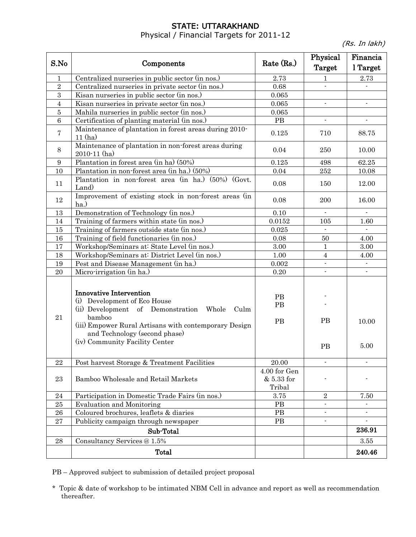#### STATE: UTTARAKHAND Physical / Financial Targets for 2011-12

(Rs. In lakh)

| S.No       | Components                                                                                                                                                                                                                                              | Rate $(Rs.)$                         | Physical<br>Target     | Financia<br>l Target     |
|------------|---------------------------------------------------------------------------------------------------------------------------------------------------------------------------------------------------------------------------------------------------------|--------------------------------------|------------------------|--------------------------|
| 1          | Centralized nurseries in public sector (in nos.)                                                                                                                                                                                                        | 2.73                                 | 1                      | 2.73                     |
| $\sqrt{2}$ | Centralized nurseries in private sector (in nos.)                                                                                                                                                                                                       | 0.68                                 |                        |                          |
| 3          | Kisan nurseries in public sector (in nos.)                                                                                                                                                                                                              | 0.065                                |                        |                          |
| 4          | Kisan nurseries in private sector (in nos.)                                                                                                                                                                                                             | 0.065                                | $\blacksquare$         | $\blacksquare$           |
| 5          | Mahila nurseries in public sector (in nos.)                                                                                                                                                                                                             | 0.065                                |                        |                          |
| 6          | Certification of planting material (in nos.)                                                                                                                                                                                                            | PB                                   | $\blacksquare$         | $\overline{\phantom{a}}$ |
| 7          | Maintenance of plantation in forest areas during 2010-<br>11(ha)                                                                                                                                                                                        | 0.125                                | 710                    | 88.75                    |
| 8          | Maintenance of plantation in non-forest areas during<br>$2010 - 11$ (ha)                                                                                                                                                                                | 0.04                                 | 250                    | 10.00                    |
| 9          | Plantation in forest area (in ha) (50%)                                                                                                                                                                                                                 | 0.125                                | 498                    | 62.25                    |
| 10         | Plantation in non-forest area (in ha.) (50%)                                                                                                                                                                                                            | 0.04                                 | $252\,$                | 10.08                    |
| 11         | Plantation in non-forest area (in ha.) (50%) (Govt.<br>Land)                                                                                                                                                                                            | 0.08                                 | 150                    | 12.00                    |
| 12         | Improvement of existing stock in non-forest areas (in<br>ha.)                                                                                                                                                                                           | 0.08                                 | 200                    | 16.00                    |
| 13         | Demonstration of Technology (in nos.)                                                                                                                                                                                                                   | 0.10                                 | $\blacksquare$         | $\blacksquare$           |
| 14         | Training of farmers within state (in nos.)                                                                                                                                                                                                              | 0.0152                               | 105                    | 1.60                     |
| 15         | Training of farmers outside state (in nos.)                                                                                                                                                                                                             | 0.025                                | $\blacksquare$         |                          |
| 16         | Training of field functionaries (in nos.)                                                                                                                                                                                                               | 0.08                                 | 50                     | 4.00                     |
| 17         | Workshop/Seminars at: State Level (in nos.)                                                                                                                                                                                                             | 3.00                                 | 1                      | 3.00                     |
| 18         | Workshop/Seminars at: District Level (in nos.)                                                                                                                                                                                                          | 1.00                                 | $\overline{4}$         | 4.00                     |
| 19         | Pest and Disease Management (in ha.)                                                                                                                                                                                                                    | 0.002                                | $\blacksquare$         | $\overline{\phantom{a}}$ |
| 20         | Micro-irrigation (in ha.)                                                                                                                                                                                                                               | 0.20                                 | $\blacksquare$         | $\blacksquare$           |
| 21         | <b>Innovative Intervention</b><br>(i) Development of Eco House<br>(ii) Development of Demonstration Whole<br>Culm<br>bamboo<br>(iii) Empower Rural Artisans with contemporary Design<br>and Technology (second phase)<br>(iv) Community Facility Center | PB<br>PB<br>PB                       | <b>PB</b><br><b>PB</b> | 10.00<br>5.00            |
| 22         | Post harvest Storage & Treatment Facilities                                                                                                                                                                                                             | 20.00                                |                        |                          |
| 23         | Bamboo Wholesale and Retail Markets                                                                                                                                                                                                                     | 4.00 for Gen<br>& 5.33 for<br>Tribal |                        |                          |
| 24         | Participation in Domestic Trade Fairs (in nos.)                                                                                                                                                                                                         | 3.75                                 | $\overline{2}$         | 7.50                     |
| 25         | Evaluation and Monitoring                                                                                                                                                                                                                               | PB                                   | $\blacksquare$         |                          |
| 26         | Coloured brochures, leaflets & diaries                                                                                                                                                                                                                  | PB                                   |                        |                          |
| 27         | Publicity campaign through newspaper                                                                                                                                                                                                                    | PB                                   | $\blacksquare$         | $\blacksquare$           |
|            | Sub-Total                                                                                                                                                                                                                                               |                                      |                        | 236.91                   |
| 28         | Consultancy Services @ 1.5%                                                                                                                                                                                                                             |                                      |                        | 3.55                     |
|            | <b>Total</b>                                                                                                                                                                                                                                            |                                      |                        | 240.46                   |

PB – Approved subject to submission of detailed project proposal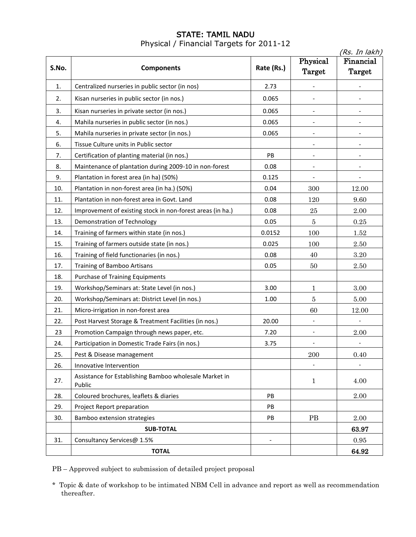### STATE: TAMIL NADU Physical / Financial Targets for 2011-12

|       | (Rs. In lakh)                                                    |                          |                          |                          |
|-------|------------------------------------------------------------------|--------------------------|--------------------------|--------------------------|
| S.No. | <b>Components</b>                                                | Rate (Rs.)               | Physical                 | Financial                |
|       |                                                                  |                          | <b>Target</b>            | Target                   |
| 1.    | Centralized nurseries in public sector (in nos)                  | 2.73                     |                          |                          |
| 2.    | Kisan nurseries in public sector (in nos.)                       | 0.065                    |                          |                          |
| 3.    | Kisan nurseries in private sector (in nos.)                      | 0.065                    |                          |                          |
| 4.    | Mahila nurseries in public sector (in nos.)                      | 0.065                    | $\overline{\phantom{a}}$ | $\overline{\phantom{a}}$ |
| 5.    | Mahila nurseries in private sector (in nos.)                     | 0.065                    |                          |                          |
| 6.    | Tissue Culture units in Public sector                            |                          |                          |                          |
| 7.    | Certification of planting material (in nos.)                     | $\mathsf{PB}$            |                          |                          |
| 8.    | Maintenance of plantation during 2009-10 in non-forest           | 0.08                     |                          |                          |
| 9.    | Plantation in forest area (in ha) (50%)                          | 0.125                    |                          |                          |
| 10.   | Plantation in non-forest area (in ha.) (50%)                     | 0.04                     | 300                      | 12.00                    |
| 11.   | Plantation in non-forest area in Govt. Land                      | 0.08                     | 120                      | 9.60                     |
| 12.   | Improvement of existing stock in non-forest areas (in ha.)       | 0.08                     | $\bf 25$                 | 2.00                     |
| 13.   | Demonstration of Technology                                      | 0.05                     | $\bf 5$                  | 0.25                     |
| 14.   | Training of farmers within state (in nos.)                       | 0.0152                   | 100                      | 1.52                     |
| 15.   | Training of farmers outside state (in nos.)                      | 0.025                    | 100                      | 2.50                     |
| 16.   | Training of field functionaries (in nos.)                        | 0.08                     | 40                       | 3.20                     |
| 17.   | Training of Bamboo Artisans                                      | 0.05                     | 50                       | $2.50\,$                 |
| 18.   | <b>Purchase of Training Equipments</b>                           |                          |                          |                          |
| 19.   | Workshop/Seminars at: State Level (in nos.)                      | 3.00                     | 1                        | 3.00                     |
| 20.   | Workshop/Seminars at: District Level (in nos.)                   | 1.00                     | $\bf 5$                  | 5.00                     |
| 21.   | Micro-irrigation in non-forest area                              |                          | 60                       | 12.00                    |
| 22.   | Post Harvest Storage & Treatment Facilities (in nos.)            | 20.00                    |                          |                          |
| 23    | Promotion Campaign through news paper, etc.                      | 7.20                     | $\blacksquare$           | 2.00                     |
| 24.   | Participation in Domestic Trade Fairs (in nos.)                  | 3.75                     |                          |                          |
| 25.   | Pest & Disease management                                        |                          | 200                      | $0.40\,$                 |
| 26.   | Innovative Intervention                                          |                          |                          |                          |
| 27.   | Assistance for Establishing Bamboo wholesale Market in<br>Public |                          | $\mathbf{1}$             | 4.00                     |
| 28.   | Coloured brochures, leaflets & diaries                           | PB                       |                          | 2.00                     |
| 29.   | Project Report preparation                                       | PB                       |                          |                          |
| 30.   | Bamboo extension strategies                                      | PB                       | PB                       | 2.00                     |
|       | <b>SUB-TOTAL</b>                                                 |                          |                          | 63.97                    |
| 31.   | Consultancy Services@ 1.5%                                       | $\overline{\phantom{a}}$ |                          | 0.95                     |
|       | <b>TOTAL</b>                                                     |                          |                          | 64.92                    |

PB – Approved subject to submission of detailed project proposal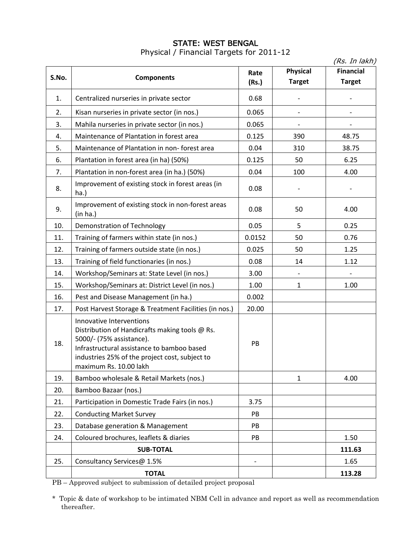#### STATE: WEST BENGAL Physical / Financial Targets for 2011-12

|       |                                                                                                                                                                                                                                  |                          |                                  | (Rs. In lakh)                     |
|-------|----------------------------------------------------------------------------------------------------------------------------------------------------------------------------------------------------------------------------------|--------------------------|----------------------------------|-----------------------------------|
| S.No. | <b>Components</b>                                                                                                                                                                                                                | Rate<br>(Rs.)            | <b>Physical</b><br><b>Target</b> | <b>Financial</b><br><b>Target</b> |
| 1.    | Centralized nurseries in private sector                                                                                                                                                                                          | 0.68                     |                                  |                                   |
| 2.    | Kisan nurseries in private sector (in nos.)                                                                                                                                                                                      | 0.065                    |                                  |                                   |
| 3.    | Mahila nurseries in private sector (in nos.)                                                                                                                                                                                     | 0.065                    |                                  |                                   |
| 4.    | Maintenance of Plantation in forest area                                                                                                                                                                                         | 0.125                    | 390                              | 48.75                             |
| 5.    | Maintenance of Plantation in non- forest area                                                                                                                                                                                    | 0.04                     | 310                              | 38.75                             |
| 6.    | Plantation in forest area (in ha) (50%)                                                                                                                                                                                          | 0.125                    | 50                               | 6.25                              |
| 7.    | Plantation in non-forest area (in ha.) (50%)                                                                                                                                                                                     | 0.04                     | 100                              | 4.00                              |
| 8.    | Improvement of existing stock in forest areas (in<br>ha.)                                                                                                                                                                        | 0.08                     |                                  |                                   |
| 9.    | Improvement of existing stock in non-forest areas<br>(in ha.)                                                                                                                                                                    | 0.08                     | 50                               | 4.00                              |
| 10.   | Demonstration of Technology                                                                                                                                                                                                      | 0.05                     | 5                                | 0.25                              |
| 11.   | Training of farmers within state (in nos.)                                                                                                                                                                                       | 0.0152                   | 50                               | 0.76                              |
| 12.   | Training of farmers outside state (in nos.)                                                                                                                                                                                      | 0.025                    | 50                               | 1.25                              |
| 13.   | Training of field functionaries (in nos.)                                                                                                                                                                                        | 0.08                     | 14                               | 1.12                              |
| 14.   | Workshop/Seminars at: State Level (in nos.)                                                                                                                                                                                      | 3.00                     |                                  |                                   |
| 15.   | Workshop/Seminars at: District Level (in nos.)                                                                                                                                                                                   | 1.00                     | $\mathbf{1}$                     | 1.00                              |
| 16.   | Pest and Disease Management (in ha.)                                                                                                                                                                                             | 0.002                    |                                  |                                   |
| 17.   | Post Harvest Storage & Treatment Facilities (in nos.)                                                                                                                                                                            | 20.00                    |                                  |                                   |
| 18.   | Innovative Interventions<br>Distribution of Handicrafts making tools @ Rs.<br>5000/- (75% assistance).<br>Infrastructural assistance to bamboo based<br>industries 25% of the project cost, subject to<br>maximum Rs. 10.00 lakh | PB                       |                                  |                                   |
| 19.   | Bamboo wholesale & Retail Markets (nos.)                                                                                                                                                                                         |                          | 1                                | 4.00                              |
| 20.   | Bamboo Bazaar (nos.)                                                                                                                                                                                                             |                          |                                  |                                   |
| 21.   | Participation in Domestic Trade Fairs (in nos.)                                                                                                                                                                                  | 3.75                     |                                  |                                   |
| 22.   | <b>Conducting Market Survey</b>                                                                                                                                                                                                  | PB                       |                                  |                                   |
| 23.   | Database generation & Management                                                                                                                                                                                                 | PB                       |                                  |                                   |
| 24.   | Coloured brochures, leaflets & diaries                                                                                                                                                                                           | PB                       |                                  | 1.50                              |
|       | <b>SUB-TOTAL</b>                                                                                                                                                                                                                 |                          |                                  | 111.63                            |
| 25.   | Consultancy Services@ 1.5%                                                                                                                                                                                                       | $\overline{\phantom{a}}$ |                                  | 1.65                              |
|       | <b>TOTAL</b>                                                                                                                                                                                                                     |                          |                                  | 113.28                            |

PB – Approved subject to submission of detailed project proposal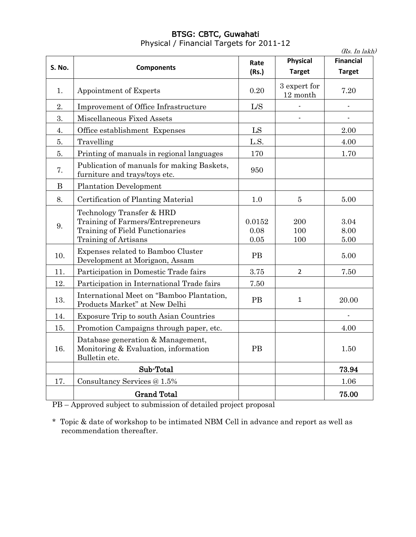# BTSG: CBTC, Guwahati Physical / Financial Targets for 2011-12

(Rs. In lakh)

| S. No. | <b>Components</b>                                                                                                         | Rate<br>(Rs.)              | <b>Physical</b><br><b>Target</b> | <b>Financial</b><br><b>Target</b> |
|--------|---------------------------------------------------------------------------------------------------------------------------|----------------------------|----------------------------------|-----------------------------------|
|        |                                                                                                                           |                            |                                  |                                   |
| 1.     | Appointment of Experts                                                                                                    | 0.20                       | 3 expert for<br>12 month         | 7.20                              |
| 2.     | Improvement of Office Infrastructure                                                                                      | L/S                        |                                  | $\overline{a}$                    |
| 3.     | Miscellaneous Fixed Assets                                                                                                |                            |                                  |                                   |
| 4.     | Office establishment Expenses                                                                                             | LS                         |                                  | 2.00                              |
| 5.     | Travelling                                                                                                                | L.S.                       |                                  | 4.00                              |
| 5.     | Printing of manuals in regional languages                                                                                 | 170                        |                                  | 1.70                              |
| 7.     | Publication of manuals for making Baskets,<br>furniture and trays/toys etc.                                               | 950                        |                                  |                                   |
| B      | <b>Plantation Development</b>                                                                                             |                            |                                  |                                   |
| 8.     | Certification of Planting Material                                                                                        | 1.0                        | $\overline{5}$                   | 5.00                              |
| 9.     | Technology Transfer & HRD<br>Training of Farmers/Entrepreneurs<br>Training of Field Functionaries<br>Training of Artisans | 0.0152<br>0.08<br>$0.05\,$ | 200<br>100<br>100                | 3.04<br>8.00<br>5.00              |
| 10.    | Expenses related to Bamboo Cluster<br>Development at Morigaon, Assam                                                      | PB                         |                                  | 5.00                              |
| 11.    | Participation in Domestic Trade fairs                                                                                     | 3.75                       | $\overline{2}$                   | 7.50                              |
| 12.    | Participation in International Trade fairs                                                                                | 7.50                       |                                  |                                   |
| 13.    | International Meet on "Bamboo Plantation,<br>Products Market" at New Delhi                                                | <b>PB</b>                  | $\mathbf{1}$                     | 20.00                             |
| 14.    | Exposure Trip to south Asian Countries                                                                                    |                            |                                  | $\qquad \qquad \blacksquare$      |
| 15.    | Promotion Campaigns through paper, etc.                                                                                   |                            |                                  | 4.00                              |
| 16.    | Database generation & Management,<br>Monitoring & Evaluation, information<br>Bulletin etc.                                | PB                         |                                  | 1.50                              |
|        | Sub-Total                                                                                                                 |                            |                                  | 73.94                             |
| 17.    | Consultancy Services @ 1.5%                                                                                               |                            |                                  | 1.06                              |
|        | <b>Grand Total</b>                                                                                                        |                            |                                  | 75.00                             |

PB – Approved subject to submission of detailed project proposal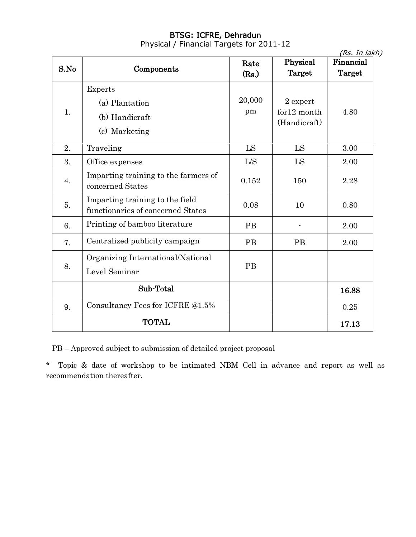#### BTSG: ICFRE, Dehradun Physical / Financial Targets for 2011-12

|      |                                                                      |               |                                         | (Rs. In lakh)       |
|------|----------------------------------------------------------------------|---------------|-----------------------------------------|---------------------|
| S.No | Components                                                           | Rate<br>(Rs.) | Physical<br>Target                      | Financial<br>Target |
| 1.   | <b>Experts</b><br>(a) Plantation<br>(b) Handicraft<br>(c) Marketing  | 20,000<br>pm  | 2 expert<br>for12 month<br>(Handicraft) | 4.80                |
| 2.   | Traveling                                                            | LS            | LS                                      | 3.00                |
| 3.   | Office expenses                                                      | L/S           | LS                                      | 2.00                |
| 4.   | Imparting training to the farmers of<br>concerned States             | 0.152         | 150                                     | 2.28                |
| 5.   | Imparting training to the field<br>functionaries of concerned States | 0.08          | 10                                      | 0.80                |
| 6.   | Printing of bamboo literature                                        | <b>PB</b>     |                                         | 2.00                |
| 7.   | Centralized publicity campaign                                       | <b>PB</b>     | <b>PB</b>                               | 2.00                |
| 8.   | Organizing International/National<br>Level Seminar                   | <b>PB</b>     |                                         |                     |
|      | Sub-Total                                                            |               |                                         | 16.88               |
| 9.   | Consultancy Fees for ICFRE @1.5%                                     |               |                                         | 0.25                |
|      | <b>TOTAL</b>                                                         |               |                                         | 17.13               |

PB – Approved subject to submission of detailed project proposal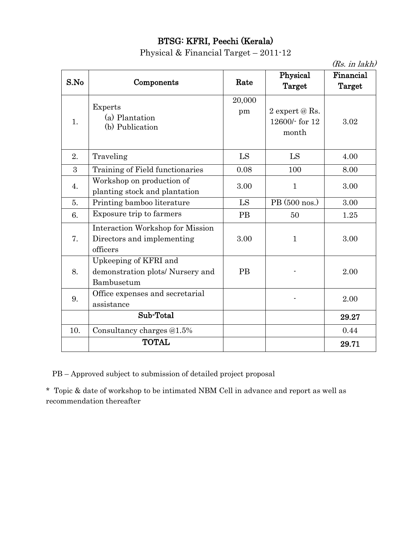# BTSG: KFRI, Peechi (Kerala)

Physical & Financial Target – 2011-12

|      |                                                                            |              |                                             | $(Rs.$ in lakh)     |
|------|----------------------------------------------------------------------------|--------------|---------------------------------------------|---------------------|
| S.No | Components                                                                 | Rate         | Physical<br>Target                          | Financial<br>Target |
| 1.   | <b>Experts</b><br>(a) Plantation<br>(b) Publication                        | 20,000<br>pm | 2 expert $@$ Rs.<br>12600/- for 12<br>month | 3.02                |
| 2.   | Traveling                                                                  | LS           | LS                                          | 4.00                |
| 3    | Training of Field functionaries                                            | 0.08         | 100                                         | 8.00                |
| 4.   | Workshop on production of<br>planting stock and plantation                 | 3.00         | $\mathbf{1}$                                | 3.00                |
| 5.   | Printing bamboo literature                                                 | LS           | PB (500 nos.)                               | 3.00                |
| 6.   | Exposure trip to farmers                                                   | <b>PB</b>    | 50                                          | 1.25                |
| 7.   | Interaction Workshop for Mission<br>Directors and implementing<br>officers | 3.00         | $\mathbf{1}$                                | 3.00                |
| 8.   | Upkeeping of KFRI and<br>demonstration plots/ Nursery and<br>Bambusetum    | <b>PB</b>    |                                             | 2.00                |
| 9.   | Office expenses and secretarial<br>assistance                              |              |                                             | 2.00                |
|      | Sub-Total                                                                  |              |                                             | 29.27               |
| 10.  | Consultancy charges @1.5%                                                  |              |                                             | 0.44                |
|      | <b>TOTAL</b>                                                               |              |                                             | 29.71               |

PB – Approved subject to submission of detailed project proposal